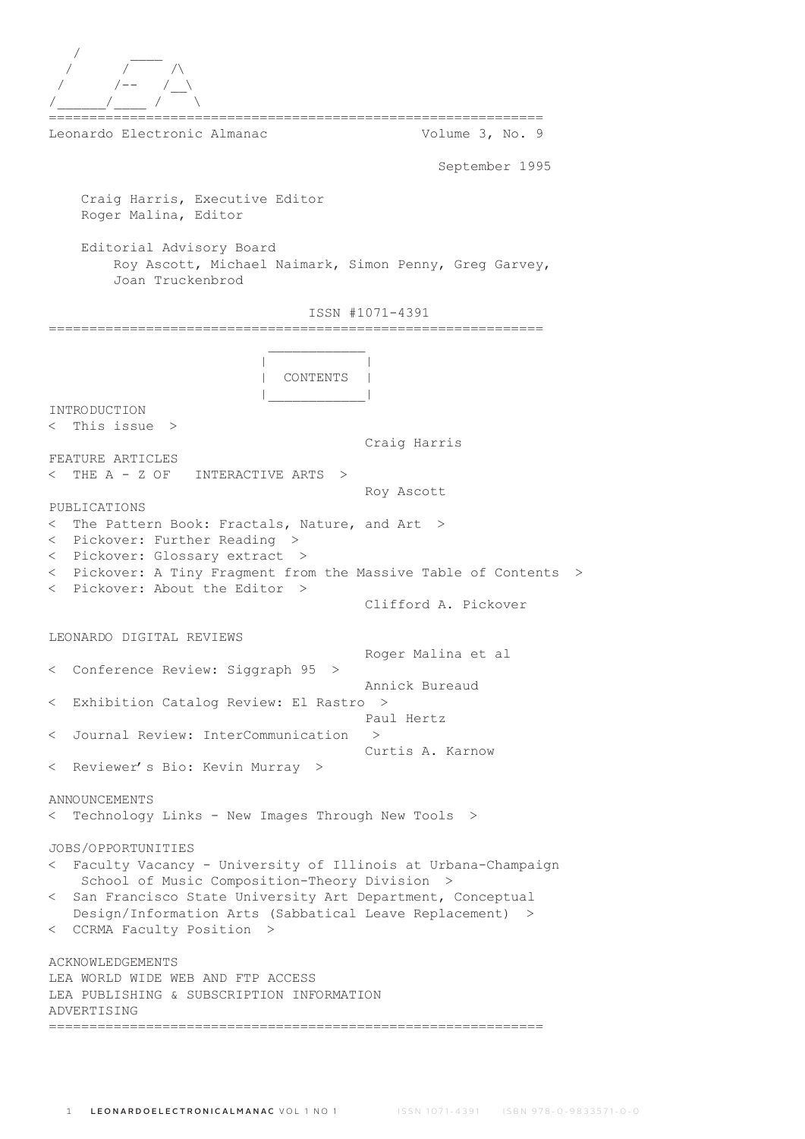

============================================================= Leonardo Electronic Almanac Volume 3, No. 9 September 1995 Craig Harris, Executive Editor Roger Malina, Editor Editorial Advisory Board Roy Ascott, Michael Naimark, Simon Penny, Greg Garvey, Joan Truckenbrod ISSN #1071-4391 =============================================================  $\mathcal{L}_\text{max}$  and  $\mathcal{L}_\text{max}$  and  $\mathcal{L}_\text{max}$  and  $\mathcal{L}_\text{max}$  | | | CONTENTS | |\_\_\_\_\_\_\_\_\_\_\_\_| INTRODUCTION < This issue > Craig Harris FEATURE ARTICLES < THE A - Z OF INTERACTIVE ARTS > Roy Ascott PUBLICATIONS < The Pattern Book: Fractals, Nature, and Art > < Pickover: Further Reading > < Pickover: Glossary extract > < Pickover: A Tiny Fragment from the Massive Table of Contents > < Pickover: About the Editor > Clifford A. Pickover LEONARDO DIGITAL REVIEWS Roger Malina et al < Conference Review: Siggraph 95 > Annick Bureaud < Exhibition Catalog Review: El Rastro > Paul Hertz < Journal Review: InterCommunication > Curtis A. Karnow < Reviewer's Bio: Kevin Murray > ANNOUNCEMENTS < Technology Links - New Images Through New Tools > JOBS/OPPORTUNITIES < Faculty Vacancy - University of Illinois at Urbana-Champaign School of Music Composition-Theory Division > < San Francisco State University Art Department, Conceptual Design/Information Arts (Sabbatical Leave Replacement) > < CCRMA Faculty Position > ACKNOWLEDGEMENTS LEA WORLD WIDE WEB AND FTP ACCESS LEA PUBLISHING & SUBSCRIPTION INFORMATION ADVERTISING =============================================================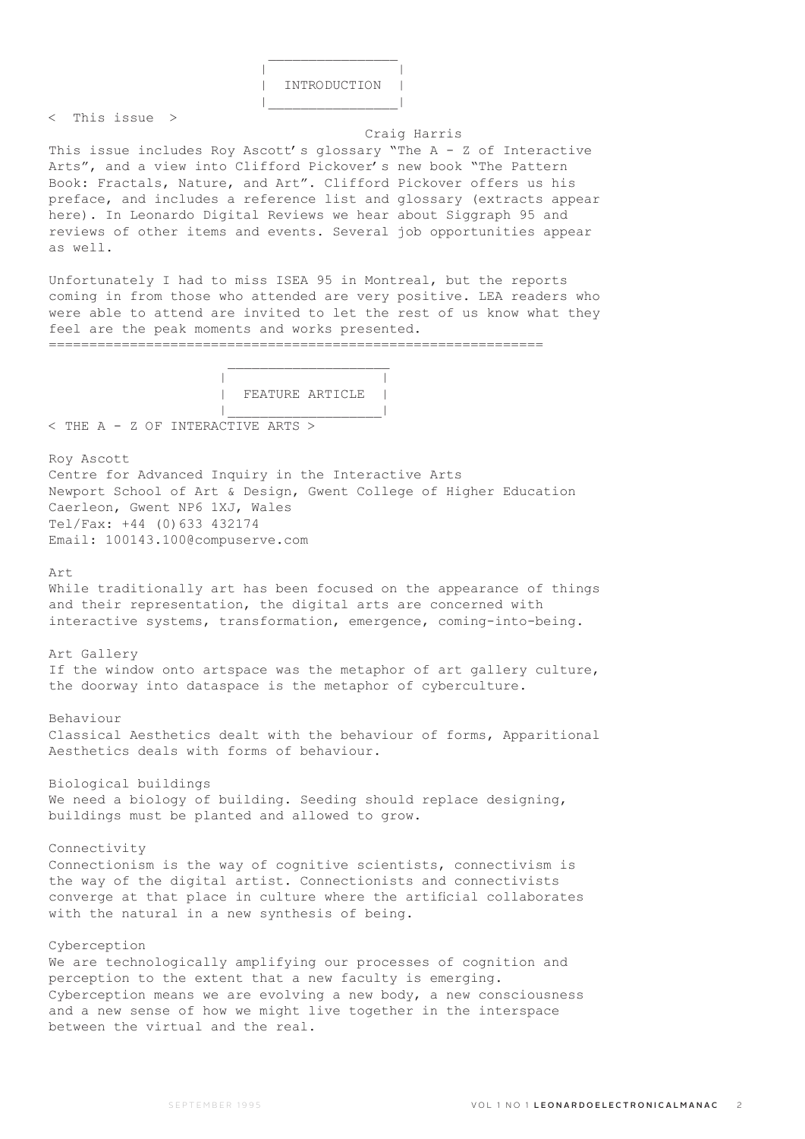

 $\mathcal{L}_\mathcal{L} = \{ \mathcal{L}_\mathcal{L} \mid \mathcal{L}_\mathcal{L} \in \mathcal{L}_\mathcal{L} \}$  , where  $\mathcal{L}_\mathcal{L} = \{ \mathcal{L}_\mathcal{L} \mid \mathcal{L}_\mathcal{L} \in \mathcal{L}_\mathcal{L} \}$ 

< This issue >

### Craig Harris

This issue includes Roy Ascott's glossary "The A - Z of Interactive Arts", and a view into Clifford Pickover's new book "The Pattern Book: Fractals, Nature, and Art". Clifford Pickover offers us his preface, and includes a reference list and glossary (extracts appear here). In Leonardo Digital Reviews we hear about Siggraph 95 and reviews of other items and events. Several job opportunities appear as well.

Unfortunately I had to miss ISEA 95 in Montreal, but the reports coming in from those who attended are very positive. LEA readers who were able to attend are invited to let the rest of us know what they feel are the peak moments and works presented.

=============================================================



 $\langle$  THE A - Z OF INTERACTIVE ARTS  $\rangle$ 

Roy Ascott Centre for Advanced Inquiry in the Interactive Arts Newport School of Art & Design, Gwent College of Higher Education Caerleon, Gwent NP6 1XJ, Wales Tel/Fax: +44 (0)633 432174 Email: 100143.100@compuserve.com

Art

While traditionally art has been focused on the appearance of things and their representation, the digital arts are concerned with interactive systems, transformation, emergence, coming-into-being.

# Art Gallery

If the window onto artspace was the metaphor of art gallery culture, the doorway into dataspace is the metaphor of cyberculture.

Behaviour

Classical Aesthetics dealt with the behaviour of forms, Apparitional Aesthetics deals with forms of behaviour.

Biological buildings We need a biology of building. Seeding should replace designing, buildings must be planted and allowed to grow.

Connectivity

Connectionism is the way of cognitive scientists, connectivism is the way of the digital artist. Connectionists and connectivists converge at that place in culture where the artificial collaborates with the natural in a new synthesis of being.

# Cyberception

We are technologically amplifying our processes of cognition and perception to the extent that a new faculty is emerging. Cyberception means we are evolving a new body, a new consciousness and a new sense of how we might live together in the interspace between the virtual and the real.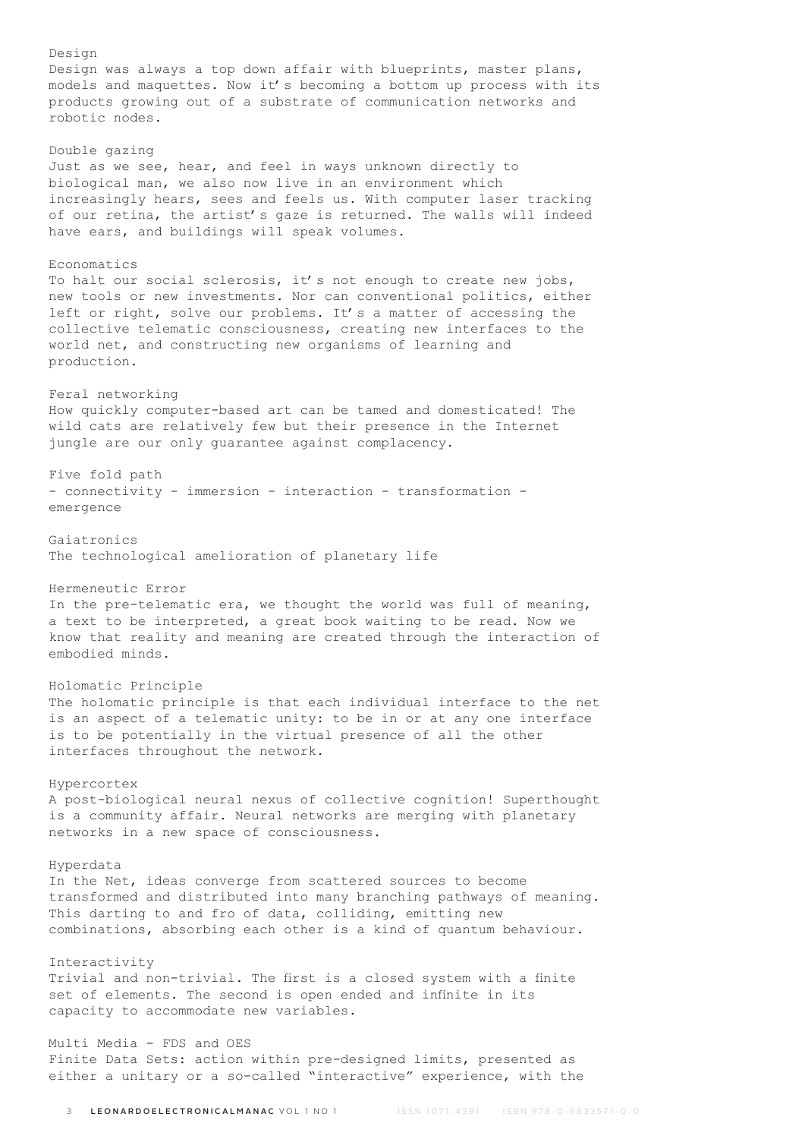Design Design was always a top down affair with blueprints, master plans, models and maquettes. Now it's becoming a bottom up process with its products growing out of a substrate of communication networks and robotic nodes. Double gazing Just as we see, hear, and feel in ways unknown directly to biological man, we also now live in an environment which increasingly hears, sees and feels us. With computer laser tracking of our retina, the artist's gaze is returned. The walls will indeed have ears, and buildings will speak volumes. Economatics To halt our social sclerosis, it's not enough to create new jobs, new tools or new investments. Nor can conventional politics, either left or right, solve our problems. It's a matter of accessing the collective telematic consciousness, creating new interfaces to the world net, and constructing new organisms of learning and production. Feral networking How quickly computer-based art can be tamed and domesticated! The wild cats are relatively few but their presence in the Internet jungle are our only guarantee against complacency. Five fold path - connectivity - immersion - interaction - transformation emergence Gaiatronics The technological amelioration of planetary life Hermeneutic Error In the pre-telematic era, we thought the world was full of meaning, a text to be interpreted, a great book waiting to be read. Now we know that reality and meaning are created through the interaction of embodied minds. Holomatic Principle The holomatic principle is that each individual interface to the net is an aspect of a telematic unity: to be in or at any one interface is to be potentially in the virtual presence of all the other interfaces throughout the network. Hypercortex A post-biological neural nexus of collective cognition! Superthought is a community affair. Neural networks are merging with planetary networks in a new space of consciousness. Hyperdata In the Net, ideas converge from scattered sources to become transformed and distributed into many branching pathways of meaning. This darting to and fro of data, colliding, emitting new combinations, absorbing each other is a kind of quantum behaviour. Interactivity Trivial and non-trivial. The first is a closed system with a finite set of elements. The second is open ended and infinite in its capacity to accommodate new variables. Multi Media - FDS and OES Finite Data Sets: action within pre-designed limits, presented as

either a unitary or a so-called "interactive" experience, with the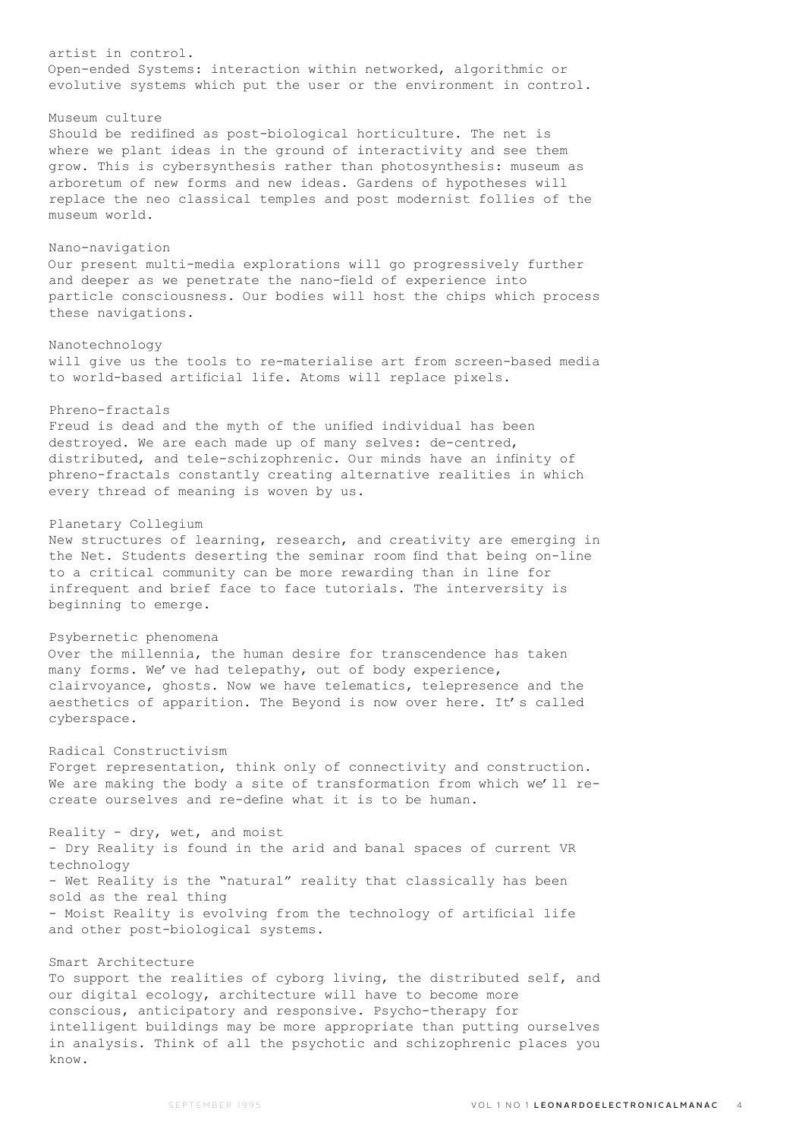artist in control. Open-ended Systems: interaction within networked, algorithmic or evolutive systems which put the user or the environment in control.

# Museum culture

Should be redifined as post-biological horticulture. The net is where we plant ideas in the ground of interactivity and see them grow. This is cybersynthesis rather than photosynthesis: museum as arboretum of new forms and new ideas. Gardens of hypotheses will replace the neo classical temples and post modernist follies of the museum world.

## Nano-navigation

Our present multi-media explorations will go progressively further and deeper as we penetrate the nano-field of experience into particle consciousness. Our bodies will host the chips which process these navigations.

#### Nanotechnology

will give us the tools to re-materialise art from screen-based media to world-based artificial life. Atoms will replace pixels.

#### Phreno-fractals

Freud is dead and the myth of the unified individual has been destroyed. We are each made up of many selves: de-centred, distributed, and tele-schizophrenic. Our minds have an infinity of phreno-fractals constantly creating alternative realities in which every thread of meaning is woven by us.

### Planetary Collegium

New structures of learning, research, and creativity are emerging in the Net. Students deserting the seminar room find that being on-line to a critical community can be more rewarding than in line for infrequent and brief face to face tutorials. The interversity is beginning to emerge.

#### Psybernetic phenomena

Over the millennia, the human desire for transcendence has taken many forms. We've had telepathy, out of body experience, clairvoyance, ghosts. Now we have telematics, telepresence and the aesthetics of apparition. The Beyond is now over here. It's called cyberspace.

### Radical Constructivism

Forget representation, think only of connectivity and construction. We are making the body a site of transformation from which we'll recreate ourselves and re-define what it is to be human.

Reality - dry, wet, and moist - Dry Reality is found in the arid and banal spaces of current VR technology - Wet Reality is the "natural" reality that classically has been sold as the real thing - Moist Reality is evolving from the technology of artificial life and other post-biological systems.

# Smart Architecture

To support the realities of cyborg living, the distributed self, and our digital ecology, architecture will have to become more conscious, anticipatory and responsive. Psycho-therapy for intelligent buildings may be more appropriate than putting ourselves in analysis. Think of all the psychotic and schizophrenic places you know.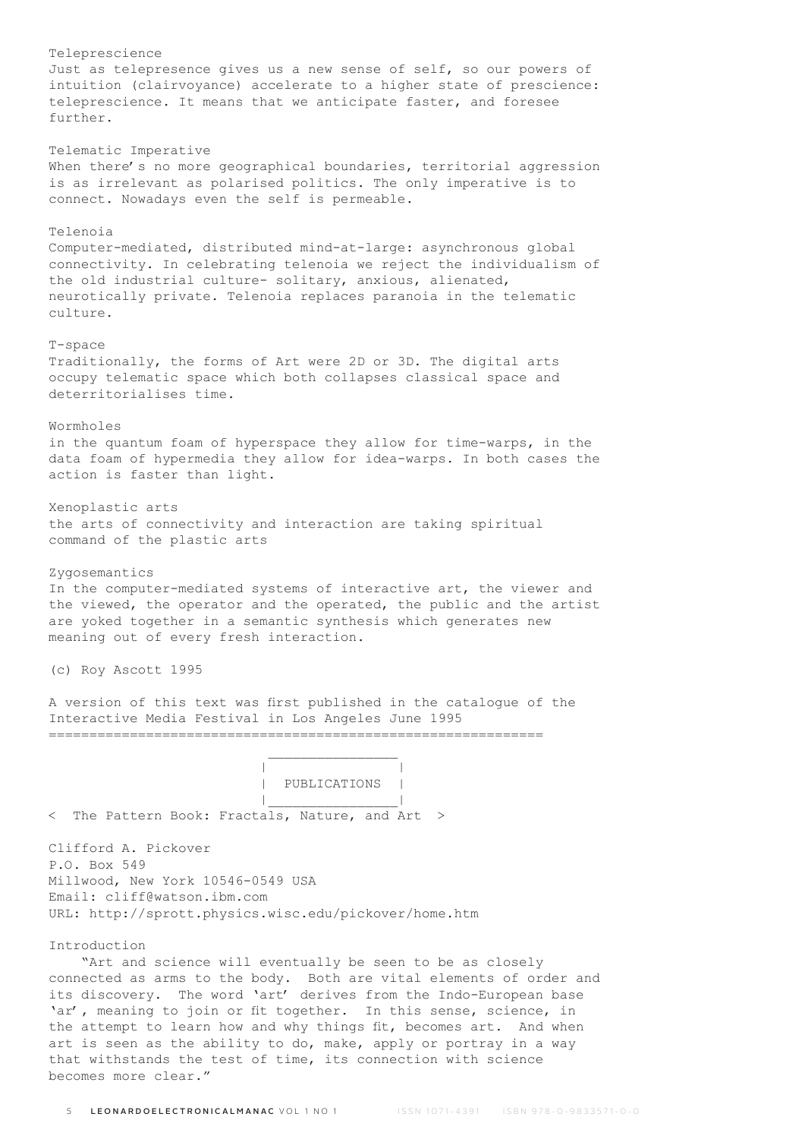Teleprescience Just as telepresence gives us a new sense of self, so our powers of intuition (clairvoyance) accelerate to a higher state of prescience: teleprescience. It means that we anticipate faster, and foresee further. Telematic Imperative When there's no more geographical boundaries, territorial aggression is as irrelevant as polarised politics. The only imperative is to connect. Nowadays even the self is permeable. Telenoia Computer-mediated, distributed mind-at-large: asynchronous global connectivity. In celebrating telenoia we reject the individualism of the old industrial culture- solitary, anxious, alienated, neurotically private. Telenoia replaces paranoia in the telematic culture. T-space Traditionally, the forms of Art were 2D or 3D. The digital arts occupy telematic space which both collapses classical space and deterritorialises time. Wormholes in the quantum foam of hyperspace they allow for time-warps, in the data foam of hypermedia they allow for idea-warps. In both cases the action is faster than light. Xenoplastic arts the arts of connectivity and interaction are taking spiritual command of the plastic arts Zygosemantics In the computer-mediated systems of interactive art, the viewer and the viewed, the operator and the operated, the public and the artist are yoked together in a semantic synthesis which generates new meaning out of every fresh interaction. (c) Roy Ascott 1995 A version of this text was first published in the catalogue of the Interactive Media Festival in Los Angeles June 1995 =============================================================  $\mathcal{L}_\text{max}$  and  $\mathcal{L}_\text{max}$  and  $\mathcal{L}_\text{max}$  and  $\mathcal{L}_\text{max}$  | | | PUBLICATIONS | |\_\_\_\_\_\_\_\_\_\_\_\_\_\_\_\_| < The Pattern Book: Fractals, Nature, and Art > Clifford A. Pickover P.O. Box 549 Millwood, New York 10546-0549 USA Email: cliff@watson.ibm.com URL: http://sprott.physics.wisc.edu/pickover/home.htm Introduction "Art and science will eventually be seen to be as closely connected as arms to the body. Both are vital elements of order and

its discovery. The word 'art' derives from the Indo-European base 'ar', meaning to join or fit together. In this sense, science, in the attempt to learn how and why things fit, becomes art. And when art is seen as the ability to do, make, apply or portray in a way that withstands the test of time, its connection with science becomes more clear."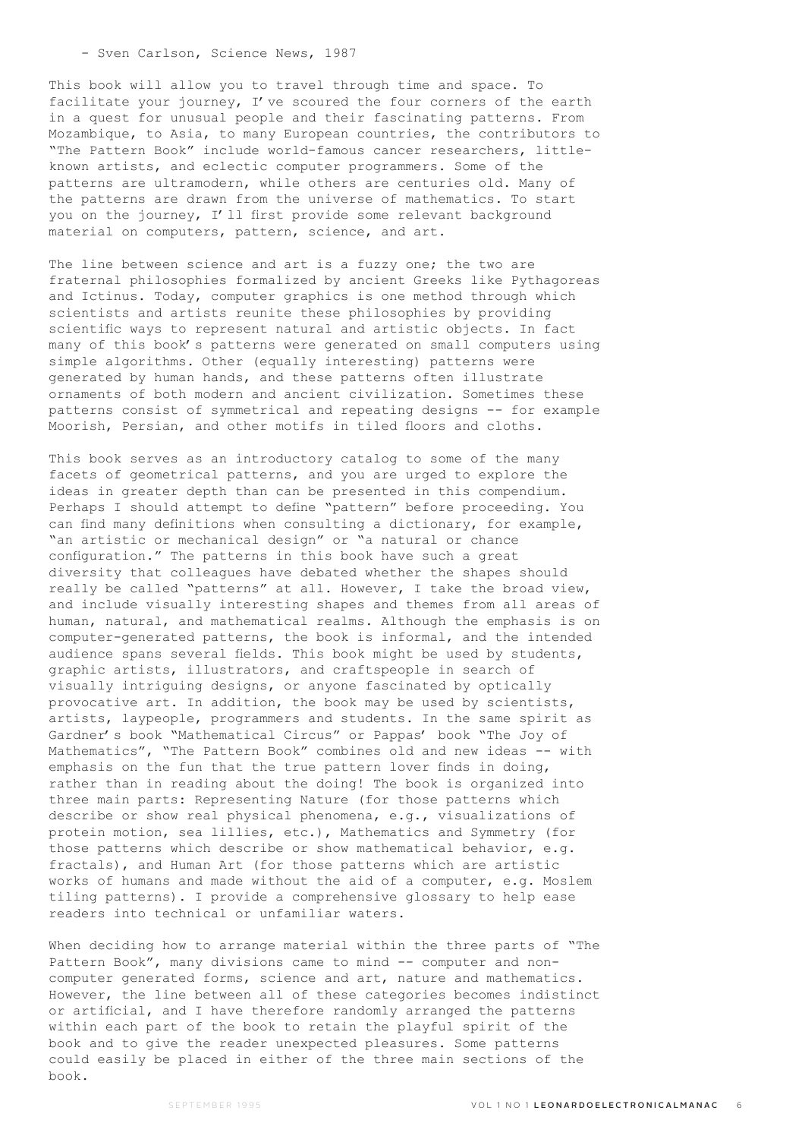- Sven Carlson, Science News, 1987

This book will allow you to travel through time and space. To facilitate your journey, I've scoured the four corners of the earth in a quest for unusual people and their fascinating patterns. From Mozambique, to Asia, to many European countries, the contributors to "The Pattern Book" include world-famous cancer researchers, littleknown artists, and eclectic computer programmers. Some of the patterns are ultramodern, while others are centuries old. Many of the patterns are drawn from the universe of mathematics. To start you on the journey, I'll first provide some relevant background material on computers, pattern, science, and art.

The line between science and art is a fuzzy one; the two are fraternal philosophies formalized by ancient Greeks like Pythagoreas and Ictinus. Today, computer graphics is one method through which scientists and artists reunite these philosophies by providing scientific ways to represent natural and artistic objects. In fact many of this book's patterns were generated on small computers using simple algorithms. Other (equally interesting) patterns were generated by human hands, and these patterns often illustrate ornaments of both modern and ancient civilization. Sometimes these patterns consist of symmetrical and repeating designs -- for example Moorish, Persian, and other motifs in tiled floors and cloths.

This book serves as an introductory catalog to some of the many facets of geometrical patterns, and you are urged to explore the ideas in greater depth than can be presented in this compendium. Perhaps I should attempt to define "pattern" before proceeding. You can find many definitions when consulting a dictionary, for example, "an artistic or mechanical design" or "a natural or chance configuration." The patterns in this book have such a great diversity that colleagues have debated whether the shapes should really be called "patterns" at all. However, I take the broad view, and include visually interesting shapes and themes from all areas of human, natural, and mathematical realms. Although the emphasis is on computer-generated patterns, the book is informal, and the intended audience spans several fields. This book might be used by students, graphic artists, illustrators, and craftspeople in search of visually intriguing designs, or anyone fascinated by optically provocative art. In addition, the book may be used by scientists, artists, laypeople, programmers and students. In the same spirit as Gardner's book "Mathematical Circus" or Pappas' book "The Joy of Mathematics", "The Pattern Book" combines old and new ideas -- with emphasis on the fun that the true pattern lover finds in doing, rather than in reading about the doing! The book is organized into three main parts: Representing Nature (for those patterns which describe or show real physical phenomena, e.g., visualizations of protein motion, sea lillies, etc.), Mathematics and Symmetry (for those patterns which describe or show mathematical behavior, e.g. fractals), and Human Art (for those patterns which are artistic works of humans and made without the aid of a computer, e.g. Moslem tiling patterns). I provide a comprehensive glossary to help ease readers into technical or unfamiliar waters.

When deciding how to arrange material within the three parts of "The Pattern Book", many divisions came to mind -- computer and noncomputer generated forms, science and art, nature and mathematics. However, the line between all of these categories becomes indistinct or artificial, and I have therefore randomly arranged the patterns within each part of the book to retain the playful spirit of the book and to give the reader unexpected pleasures. Some patterns could easily be placed in either of the three main sections of the book.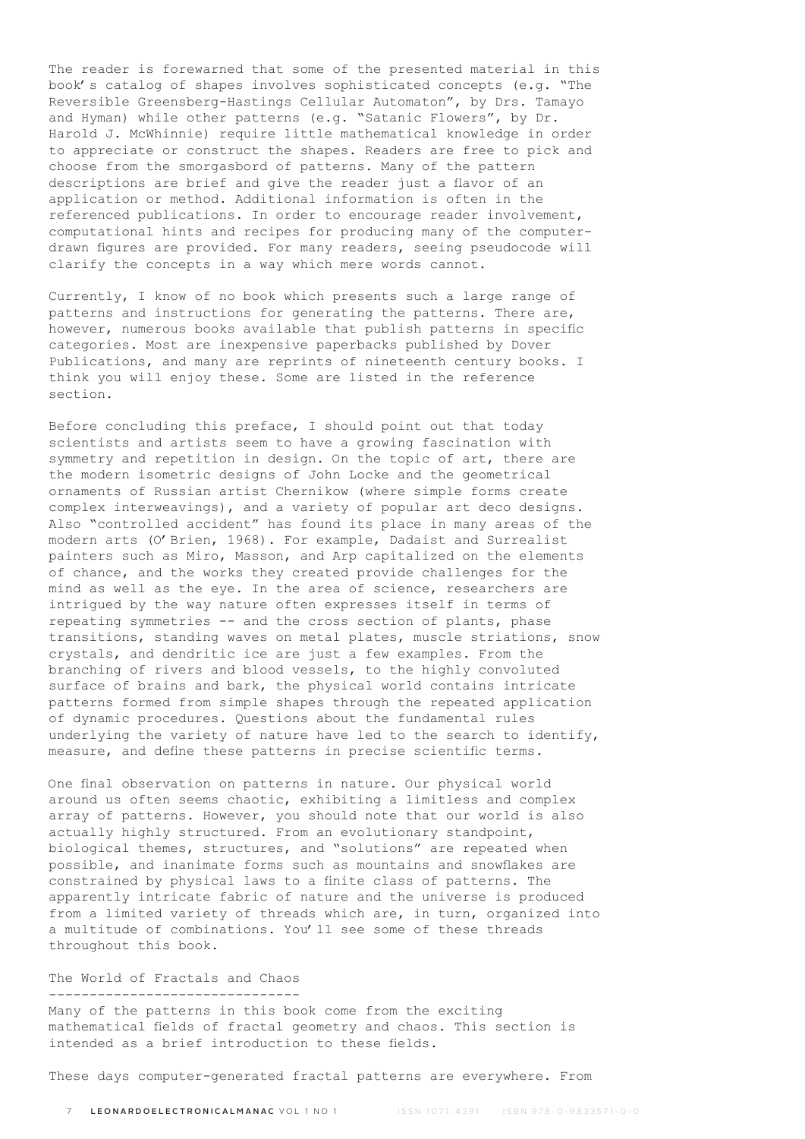The reader is forewarned that some of the presented material in this book's catalog of shapes involves sophisticated concepts (e.g. "The Reversible Greensberg-Hastings Cellular Automaton", by Drs. Tamayo and Hyman) while other patterns (e.g. "Satanic Flowers", by Dr. Harold J. McWhinnie) require little mathematical knowledge in order to appreciate or construct the shapes. Readers are free to pick and choose from the smorgasbord of patterns. Many of the pattern descriptions are brief and give the reader just a flavor of an application or method. Additional information is often in the referenced publications. In order to encourage reader involvement, computational hints and recipes for producing many of the computerdrawn figures are provided. For many readers, seeing pseudocode will clarify the concepts in a way which mere words cannot.

Currently, I know of no book which presents such a large range of patterns and instructions for generating the patterns. There are, however, numerous books available that publish patterns in specific categories. Most are inexpensive paperbacks published by Dover Publications, and many are reprints of nineteenth century books. I think you will enjoy these. Some are listed in the reference section.

Before concluding this preface, I should point out that today scientists and artists seem to have a growing fascination with symmetry and repetition in design. On the topic of art, there are the modern isometric designs of John Locke and the geometrical ornaments of Russian artist Chernikow (where simple forms create complex interweavings), and a variety of popular art deco designs. Also "controlled accident" has found its place in many areas of the modern arts (O'Brien, 1968). For example, Dadaist and Surrealist painters such as Miro, Masson, and Arp capitalized on the elements of chance, and the works they created provide challenges for the mind as well as the eye. In the area of science, researchers are intrigued by the way nature often expresses itself in terms of repeating symmetries -- and the cross section of plants, phase transitions, standing waves on metal plates, muscle striations, snow crystals, and dendritic ice are just a few examples. From the branching of rivers and blood vessels, to the highly convoluted surface of brains and bark, the physical world contains intricate patterns formed from simple shapes through the repeated application of dynamic procedures. Questions about the fundamental rules underlying the variety of nature have led to the search to identify, measure, and define these patterns in precise scientific terms.

One final observation on patterns in nature. Our physical world around us often seems chaotic, exhibiting a limitless and complex array of patterns. However, you should note that our world is also actually highly structured. From an evolutionary standpoint, biological themes, structures, and "solutions" are repeated when possible, and inanimate forms such as mountains and snowflakes are constrained by physical laws to a finite class of patterns. The apparently intricate fabric of nature and the universe is produced from a limited variety of threads which are, in turn, organized into a multitude of combinations. You'll see some of these threads throughout this book.

#### The World of Fractals and Chaos -------------------------------

Many of the patterns in this book come from the exciting mathematical fields of fractal geometry and chaos. This section is intended as a brief introduction to these fields.

These days computer-generated fractal patterns are everywhere. From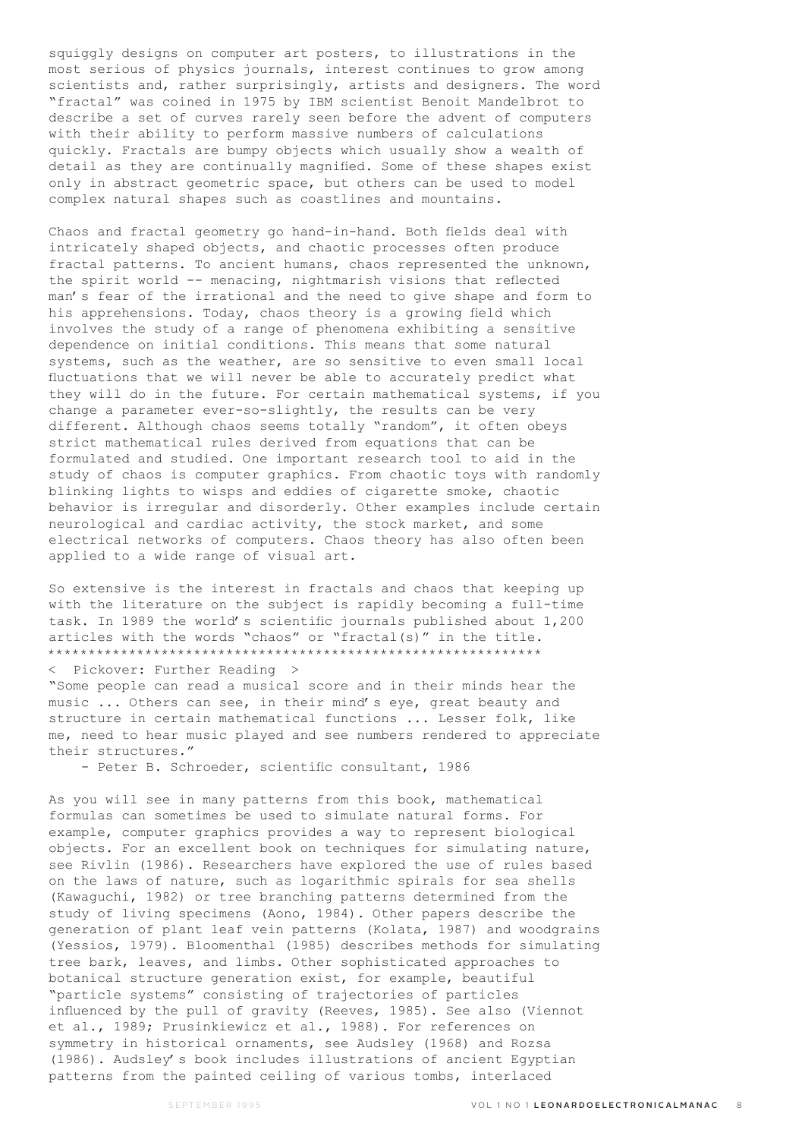squiggly designs on computer art posters, to illustrations in the most serious of physics journals, interest continues to grow among scientists and, rather surprisingly, artists and designers. The word "fractal" was coined in 1975 by IBM scientist Benoit Mandelbrot to describe a set of curves rarely seen before the advent of computers with their ability to perform massive numbers of calculations quickly. Fractals are bumpy objects which usually show a wealth of detail as they are continually magnified. Some of these shapes exist only in abstract geometric space, but others can be used to model complex natural shapes such as coastlines and mountains.

Chaos and fractal geometry go hand-in-hand. Both fields deal with intricately shaped objects, and chaotic processes often produce fractal patterns. To ancient humans, chaos represented the unknown, the spirit world -- menacing, nightmarish visions that reflected man's fear of the irrational and the need to give shape and form to his apprehensions. Today, chaos theory is a growing field which involves the study of a range of phenomena exhibiting a sensitive dependence on initial conditions. This means that some natural systems, such as the weather, are so sensitive to even small local fluctuations that we will never be able to accurately predict what they will do in the future. For certain mathematical systems, if you change a parameter ever-so-slightly, the results can be very different. Although chaos seems totally "random", it often obeys strict mathematical rules derived from equations that can be formulated and studied. One important research tool to aid in the study of chaos is computer graphics. From chaotic toys with randomly blinking lights to wisps and eddies of cigarette smoke, chaotic behavior is irregular and disorderly. Other examples include certain neurological and cardiac activity, the stock market, and some electrical networks of computers. Chaos theory has also often been applied to a wide range of visual art.

So extensive is the interest in fractals and chaos that keeping up with the literature on the subject is rapidly becoming a full-time task. In 1989 the world's scientific journals published about 1,200 articles with the words "chaos" or "fractal(s)" in the title. \*\*\*\*\*\*\*\*\*\*\*\*\*\*\*\*\*\*\*\*\*\*\*\*\*\*\*\*\*\*\*\*\*\*\*\*\*\*\*\*\*\*\*\*\*\*\*\*\*\*\*\*\*\*\*\*\*\*\*\*\*

< Pickover: Further Reading >

"Some people can read a musical score and in their minds hear the music ... Others can see, in their mind's eye, great beauty and structure in certain mathematical functions ... Lesser folk, like me, need to hear music played and see numbers rendered to appreciate their structures."

- Peter B. Schroeder, scientific consultant, 1986

As you will see in many patterns from this book, mathematical formulas can sometimes be used to simulate natural forms. For example, computer graphics provides a way to represent biological objects. For an excellent book on techniques for simulating nature, see Rivlin (1986). Researchers have explored the use of rules based on the laws of nature, such as logarithmic spirals for sea shells (Kawaguchi, 1982) or tree branching patterns determined from the study of living specimens (Aono, 1984). Other papers describe the generation of plant leaf vein patterns (Kolata, 1987) and woodgrains (Yessios, 1979). Bloomenthal (1985) describes methods for simulating tree bark, leaves, and limbs. Other sophisticated approaches to botanical structure generation exist, for example, beautiful "particle systems" consisting of trajectories of particles influenced by the pull of gravity (Reeves, 1985). See also (Viennot et al., 1989; Prusinkiewicz et al., 1988). For references on symmetry in historical ornaments, see Audsley (1968) and Rozsa (1986). Audsley's book includes illustrations of ancient Egyptian patterns from the painted ceiling of various tombs, interlaced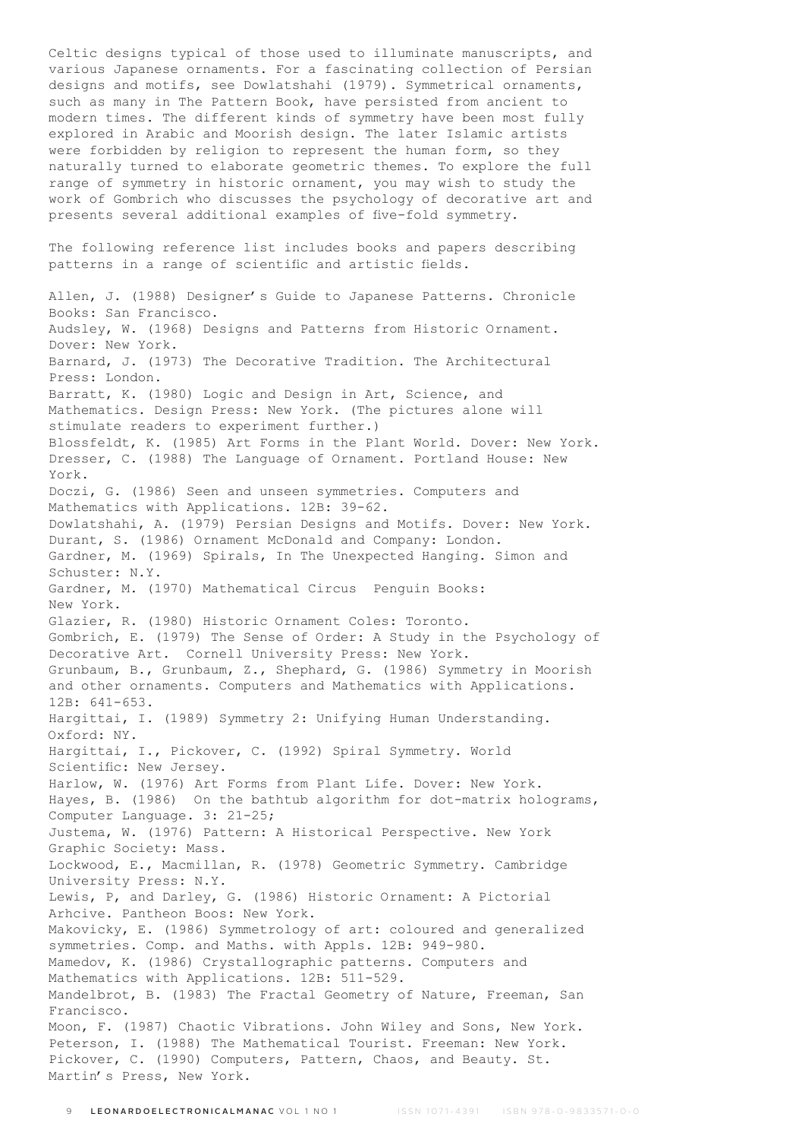Celtic designs typical of those used to illuminate manuscripts, and various Japanese ornaments. For a fascinating collection of Persian designs and motifs, see Dowlatshahi (1979). Symmetrical ornaments, such as many in The Pattern Book, have persisted from ancient to modern times. The different kinds of symmetry have been most fully explored in Arabic and Moorish design. The later Islamic artists were forbidden by religion to represent the human form, so they naturally turned to elaborate geometric themes. To explore the full range of symmetry in historic ornament, you may wish to study the work of Gombrich who discusses the psychology of decorative art and presents several additional examples of five-fold symmetry.

The following reference list includes books and papers describing patterns in a range of scientific and artistic fields.

Allen, J. (1988) Designer's Guide to Japanese Patterns. Chronicle Books: San Francisco. Audsley, W. (1968) Designs and Patterns from Historic Ornament. Dover: New York. Barnard, J. (1973) The Decorative Tradition. The Architectural Press: London. Barratt, K. (1980) Logic and Design in Art, Science, and Mathematics. Design Press: New York. (The pictures alone will stimulate readers to experiment further.) Blossfeldt, K. (1985) Art Forms in the Plant World. Dover: New York. Dresser, C. (1988) The Language of Ornament. Portland House: New York. Doczi, G. (1986) Seen and unseen symmetries. Computers and Mathematics with Applications. 12B: 39-62. Dowlatshahi, A. (1979) Persian Designs and Motifs. Dover: New York. Durant, S. (1986) Ornament McDonald and Company: London. Gardner, M. (1969) Spirals, In The Unexpected Hanging. Simon and Schuster: N.Y. Gardner, M. (1970) Mathematical Circus Penguin Books: New York. Glazier, R. (1980) Historic Ornament Coles: Toronto. Gombrich, E. (1979) The Sense of Order: A Study in the Psychology of Decorative Art. Cornell University Press: New York. Grunbaum, B., Grunbaum, Z., Shephard, G. (1986) Symmetry in Moorish and other ornaments. Computers and Mathematics with Applications. 12B: 641-653. Hargittai, I. (1989) Symmetry 2: Unifying Human Understanding. Oxford: NY. Hargittai, I., Pickover, C. (1992) Spiral Symmetry. World Scientific: New Jersey. Harlow, W. (1976) Art Forms from Plant Life. Dover: New York. Hayes, B. (1986) On the bathtub algorithm for dot-matrix holograms, Computer Language. 3: 21-25; Justema, W. (1976) Pattern: A Historical Perspective. New York Graphic Society: Mass. Lockwood, E., Macmillan, R. (1978) Geometric Symmetry. Cambridge University Press: N.Y. Lewis, P, and Darley, G. (1986) Historic Ornament: A Pictorial Arhcive. Pantheon Boos: New York. Makovicky, E. (1986) Symmetrology of art: coloured and generalized symmetries. Comp. and Maths. with Appls. 12B: 949-980. Mamedov, K. (1986) Crystallographic patterns. Computers and Mathematics with Applications. 12B: 511-529. Mandelbrot, B. (1983) The Fractal Geometry of Nature, Freeman, San Francisco. Moon, F. (1987) Chaotic Vibrations. John Wiley and Sons, New York. Peterson, I. (1988) The Mathematical Tourist. Freeman: New York. Pickover, C. (1990) Computers, Pattern, Chaos, and Beauty. St. Martin's Press, New York.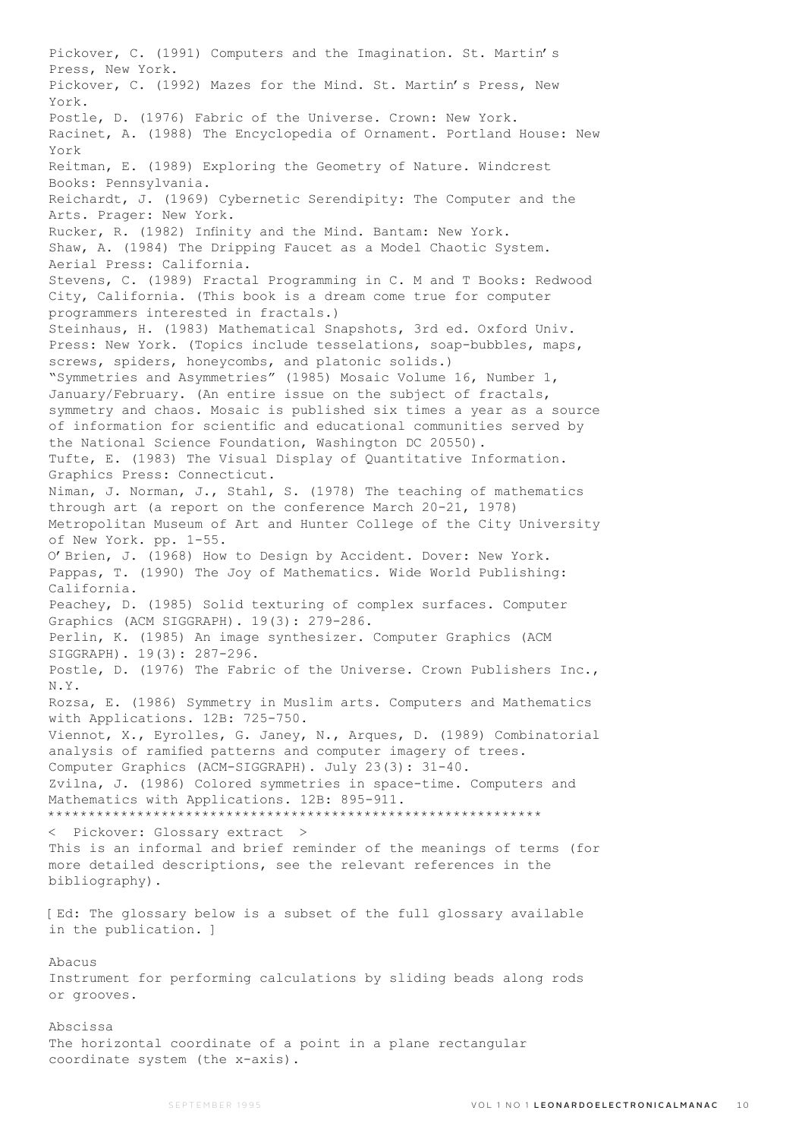Pickover, C. (1991) Computers and the Imagination. St. Martin's Press, New York. Pickover, C. (1992) Mazes for the Mind. St. Martin's Press, New York. Postle, D. (1976) Fabric of the Universe. Crown: New York. Racinet, A. (1988) The Encyclopedia of Ornament. Portland House: New York Reitman, E. (1989) Exploring the Geometry of Nature. Windcrest Books: Pennsylvania. Reichardt, J. (1969) Cybernetic Serendipity: The Computer and the Arts. Prager: New York. Rucker, R. (1982) Infinity and the Mind. Bantam: New York. Shaw, A. (1984) The Dripping Faucet as a Model Chaotic System. Aerial Press: California. Stevens, C. (1989) Fractal Programming in C. M and T Books: Redwood City, California. (This book is a dream come true for computer programmers interested in fractals.) Steinhaus, H. (1983) Mathematical Snapshots, 3rd ed. Oxford Univ. Press: New York. (Topics include tesselations, soap-bubbles, maps, screws, spiders, honeycombs, and platonic solids.) "Symmetries and Asymmetries" (1985) Mosaic Volume 16, Number 1, January/February. (An entire issue on the subject of fractals, symmetry and chaos. Mosaic is published six times a year as a source of information for scientific and educational communities served by the National Science Foundation, Washington DC 20550). Tufte, E. (1983) The Visual Display of Quantitative Information. Graphics Press: Connecticut. Niman, J. Norman, J., Stahl, S. (1978) The teaching of mathematics through art (a report on the conference March 20-21, 1978) Metropolitan Museum of Art and Hunter College of the City University of New York. pp. 1-55. O'Brien, J. (1968) How to Design by Accident. Dover: New York. Pappas, T. (1990) The Joy of Mathematics. Wide World Publishing: California. Peachey, D. (1985) Solid texturing of complex surfaces. Computer Graphics (ACM SIGGRAPH). 19(3): 279-286. Perlin, K. (1985) An image synthesizer. Computer Graphics (ACM SIGGRAPH). 19(3): 287-296. Postle, D. (1976) The Fabric of the Universe. Crown Publishers Inc., N.Y. Rozsa, E. (1986) Symmetry in Muslim arts. Computers and Mathematics with Applications. 12B: 725-750. Viennot, X., Eyrolles, G. Janey, N., Arques, D. (1989) Combinatorial analysis of ramified patterns and computer imagery of trees. Computer Graphics (ACM-SIGGRAPH). July 23(3): 31-40. Zvilna, J. (1986) Colored symmetries in space-time. Computers and Mathematics with Applications. 12B: 895-911. \*\*\*\*\*\*\*\*\*\*\*\*\*\*\*\*\*\*\*\*\*\*\*\*\*\*\*\*\*\*\*\*\*\*\*\*\*\*\*\*\*\*\*\*\*\*\*\*\*\*\*\*\*\*\*\*\*\*\*\*\* < Pickover: Glossary extract > This is an informal and brief reminder of the meanings of terms (for more detailed descriptions, see the relevant references in the bibliography). [Ed: The glossary below is a subset of the full glossary available in the publication. ] Abacus Instrument for performing calculations by sliding beads along rods or grooves. Abscissa The horizontal coordinate of a point in a plane rectangular

coordinate system (the x-axis).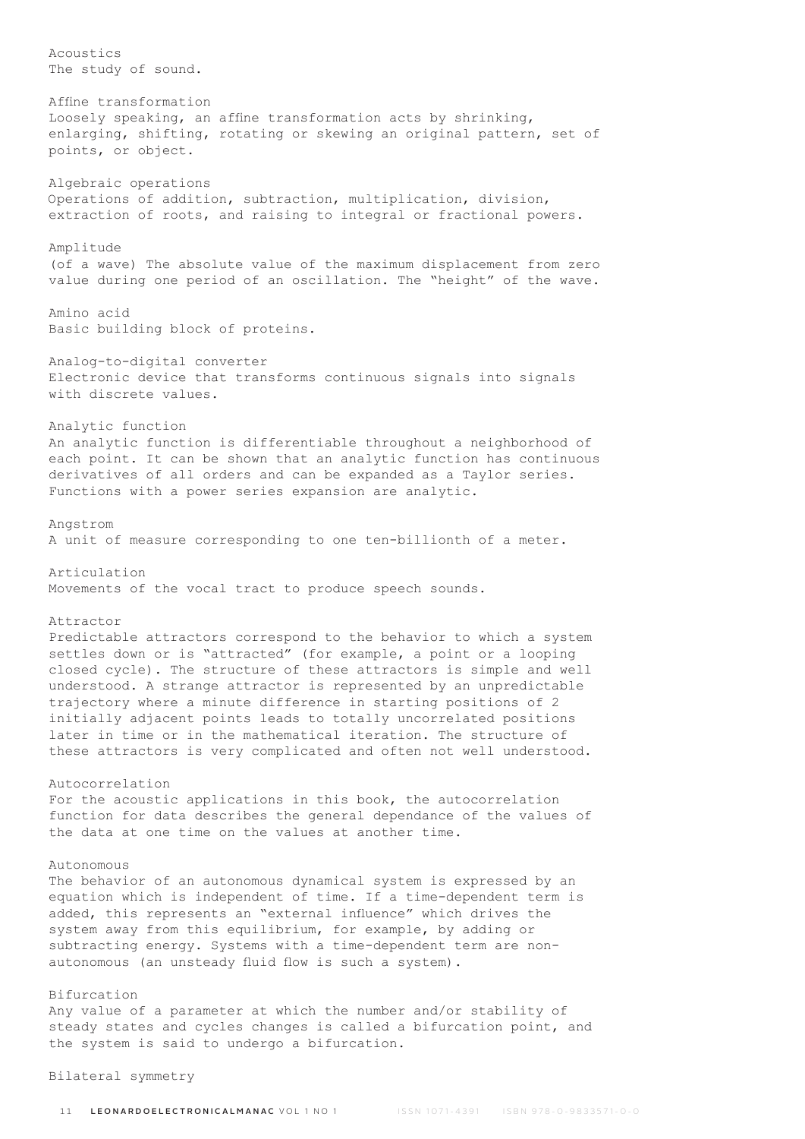Acoustics The study of sound. Affine transformation Loosely speaking, an affine transformation acts by shrinking, enlarging, shifting, rotating or skewing an original pattern, set of points, or object. Algebraic operations Operations of addition, subtraction, multiplication, division, extraction of roots, and raising to integral or fractional powers. Amplitude (of a wave) The absolute value of the maximum displacement from zero value during one period of an oscillation. The "height" of the wave. Amino acid Basic building block of proteins. Analog-to-digital converter Electronic device that transforms continuous signals into signals with discrete values. Analytic function An analytic function is differentiable throughout a neighborhood of each point. It can be shown that an analytic function has continuous derivatives of all orders and can be expanded as a Taylor series. Functions with a power series expansion are analytic. Angstrom A unit of measure corresponding to one ten-billionth of a meter. Articulation Movements of the vocal tract to produce speech sounds. Attractor Predictable attractors correspond to the behavior to which a system settles down or is "attracted" (for example, a point or a looping closed cycle). The structure of these attractors is simple and well understood. A strange attractor is represented by an unpredictable trajectory where a minute difference in starting positions of 2 initially adjacent points leads to totally uncorrelated positions later in time or in the mathematical iteration. The structure of these attractors is very complicated and often not well understood. Autocorrelation For the acoustic applications in this book, the autocorrelation function for data describes the general dependance of the values of the data at one time on the values at another time. Autonomous The behavior of an autonomous dynamical system is expressed by an equation which is independent of time. If a time-dependent term is added, this represents an "external influence" which drives the system away from this equilibrium, for example, by adding or subtracting energy. Systems with a time-dependent term are nonautonomous (an unsteady fluid flow is such a system). Bifurcation Any value of a parameter at which the number and/or stability of steady states and cycles changes is called a bifurcation point, and the system is said to undergo a bifurcation.

Bilateral symmetry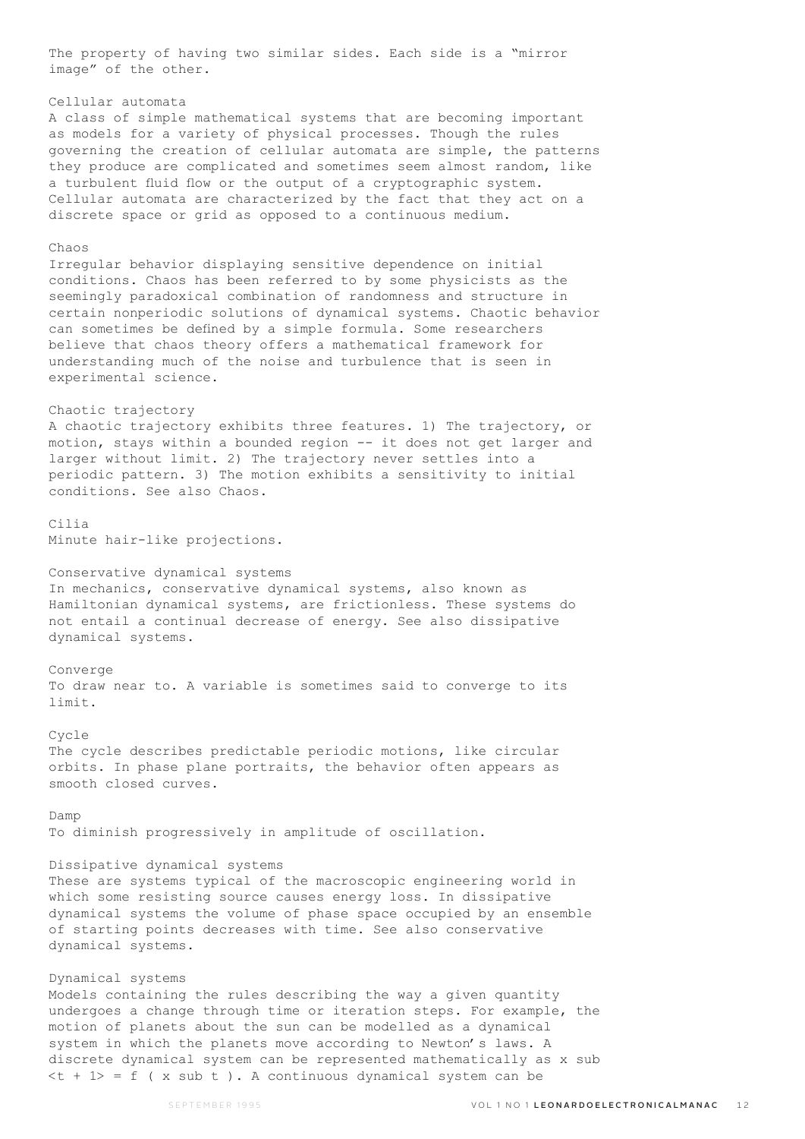The property of having two similar sides. Each side is a "mirror image" of the other.

#### Cellular automata

A class of simple mathematical systems that are becoming important as models for a variety of physical processes. Though the rules governing the creation of cellular automata are simple, the patterns they produce are complicated and sometimes seem almost random, like a turbulent fluid flow or the output of a cryptographic system. Cellular automata are characterized by the fact that they act on a discrete space or grid as opposed to a continuous medium.

# Chaos

Irregular behavior displaying sensitive dependence on initial conditions. Chaos has been referred to by some physicists as the seemingly paradoxical combination of randomness and structure in certain nonperiodic solutions of dynamical systems. Chaotic behavior can sometimes be defined by a simple formula. Some researchers believe that chaos theory offers a mathematical framework for understanding much of the noise and turbulence that is seen in experimental science.

#### Chaotic trajectory

A chaotic trajectory exhibits three features. 1) The trajectory, or motion, stays within a bounded region -- it does not get larger and larger without limit. 2) The trajectory never settles into a periodic pattern. 3) The motion exhibits a sensitivity to initial conditions. See also Chaos.

Cilia Minute hair-like projections.

### Conservative dynamical systems

In mechanics, conservative dynamical systems, also known as Hamiltonian dynamical systems, are frictionless. These systems do not entail a continual decrease of energy. See also dissipative dynamical systems.

# Converge

To draw near to. A variable is sometimes said to converge to its limit.

#### Cycle

The cycle describes predictable periodic motions, like circular orbits. In phase plane portraits, the behavior often appears as smooth closed curves.

Damp To diminish progressively in amplitude of oscillation.

# Dissipative dynamical systems

These are systems typical of the macroscopic engineering world in which some resisting source causes energy loss. In dissipative dynamical systems the volume of phase space occupied by an ensemble of starting points decreases with time. See also conservative dynamical systems.

#### Dynamical systems

Models containing the rules describing the way a given quantity undergoes a change through time or iteration steps. For example, the motion of planets about the sun can be modelled as a dynamical system in which the planets move according to Newton's laws. A discrete dynamical system can be represented mathematically as x sub  $\langle t + 1 \rangle = f$  ( x sub t ). A continuous dynamical system can be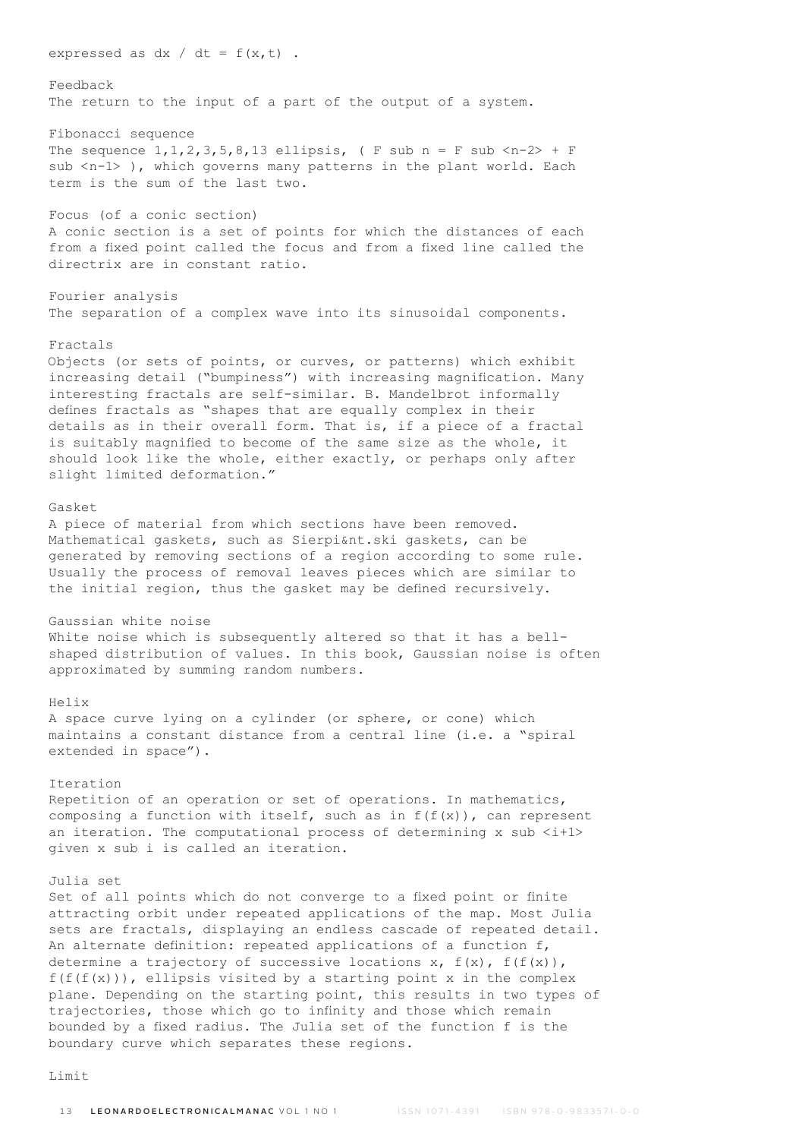expressed as  $dx / dt = f(x, t)$ . Feedback The return to the input of a part of the output of a system. Fibonacci sequence The sequence  $1, 1, 2, 3, 5, 8, 13$  ellipsis, ( F sub n = F sub  $\langle n-2 \rangle$  + F sub <n-1> ), which governs many patterns in the plant world. Each term is the sum of the last two. Focus (of a conic section) A conic section is a set of points for which the distances of each from a fixed point called the focus and from a fixed line called the directrix are in constant ratio. Fourier analysis The separation of a complex wave into its sinusoidal components. Fractals Objects (or sets of points, or curves, or patterns) which exhibit increasing detail ("bumpiness") with increasing magnification. Many interesting fractals are self-similar. B. Mandelbrot informally defines fractals as "shapes that are equally complex in their details as in their overall form. That is, if a piece of a fractal is suitably magnified to become of the same size as the whole, it should look like the whole, either exactly, or perhaps only after slight limited deformation." Gasket A piece of material from which sections have been removed. Mathematical gaskets, such as Sierpi&nt.ski gaskets, can be generated by removing sections of a region according to some rule. Usually the process of removal leaves pieces which are similar to the initial region, thus the gasket may be defined recursively. Gaussian white noise White noise which is subsequently altered so that it has a bellshaped distribution of values. In this book, Gaussian noise is often approximated by summing random numbers. Helix A space curve lying on a cylinder (or sphere, or cone) which maintains a constant distance from a central line (i.e. a "spiral extended in space"). Iteration Repetition of an operation or set of operations. In mathematics, composing a function with itself, such as in  $f(f(x))$ , can represent an iteration. The computational process of determining  $x$  sub  $\langle i+1 \rangle$ given x sub i is called an iteration. Julia set Set of all points which do not converge to a fixed point or finite attracting orbit under repeated applications of the map. Most Julia sets are fractals, displaying an endless cascade of repeated detail. An alternate definition: repeated applications of a function f, determine a trajectory of successive locations x,  $f(x)$ ,  $f(f(x))$ ,  $f(f(f(x)))$ , ellipsis visited by a starting point x in the complex plane. Depending on the starting point, this results in two types of trajectories, those which go to infinity and those which remain bounded by a fixed radius. The Julia set of the function f is the boundary curve which separates these regions.

Limit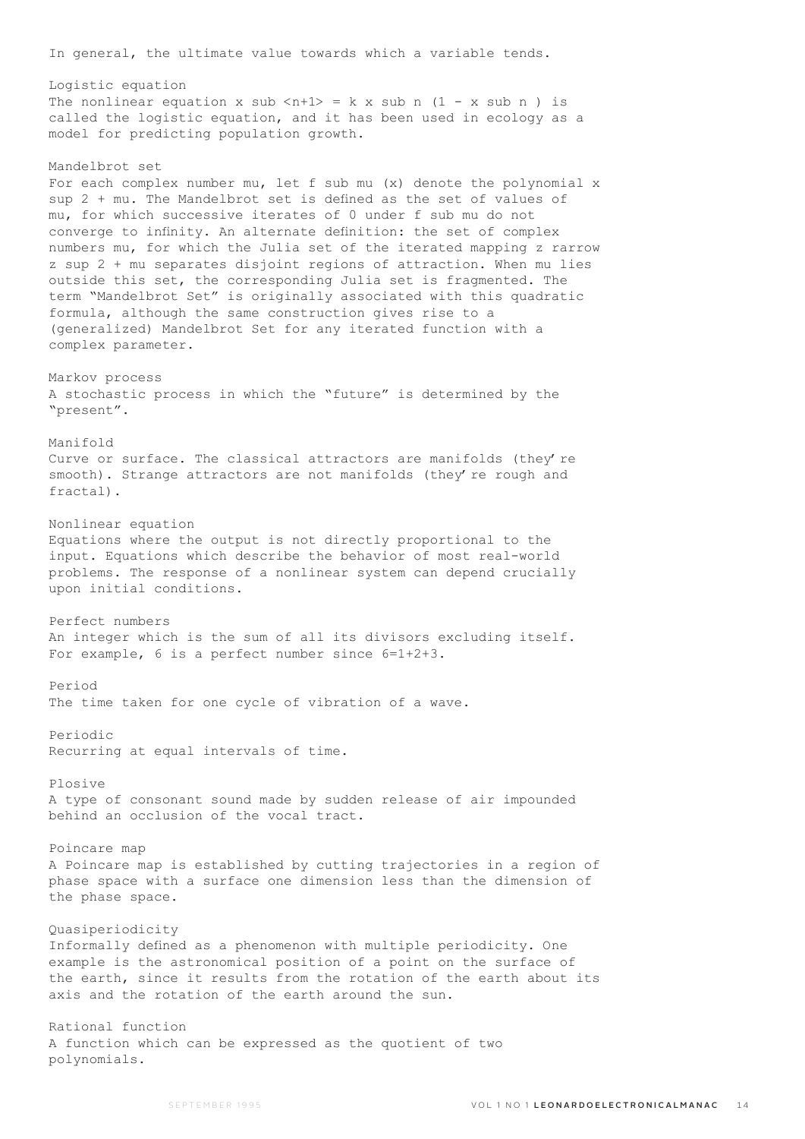In general, the ultimate value towards which a variable tends.

#### Logistic equation

The nonlinear equation x sub  $\langle n+1 \rangle = k$  x sub n (1 - x sub n) is called the logistic equation, and it has been used in ecology as a model for predicting population growth.

#### Mandelbrot set

For each complex number mu, let f sub mu (x) denote the polynomial x sup 2 + mu. The Mandelbrot set is defined as the set of values of mu, for which successive iterates of 0 under f sub mu do not converge to infinity. An alternate definition: the set of complex numbers mu, for which the Julia set of the iterated mapping z rarrow z sup 2 + mu separates disjoint regions of attraction. When mu lies outside this set, the corresponding Julia set is fragmented. The term "Mandelbrot Set" is originally associated with this quadratic formula, although the same construction gives rise to a (generalized) Mandelbrot Set for any iterated function with a complex parameter.

# Markov process

A stochastic process in which the "future" is determined by the "present".

### Manifold

Curve or surface. The classical attractors are manifolds (they're smooth). Strange attractors are not manifolds (they're rough and fractal).

# Nonlinear equation Equations where the output is not directly proportional to the

input. Equations which describe the behavior of most real-world problems. The response of a nonlinear system can depend crucially upon initial conditions.

# Perfect numbers An integer which is the sum of all its divisors excluding itself. For example, 6 is a perfect number since 6=1+2+3.

Period The time taken for one cycle of vibration of a wave.

Periodic Recurring at equal intervals of time.

# Plosive A type of consonant sound made by sudden release of air impounded behind an occlusion of the vocal tract.

# Poincare map A Poincare map is established by cutting trajectories in a region of phase space with a surface one dimension less than the dimension of the phase space.

# Quasiperiodicity Informally defined as a phenomenon with multiple periodicity. One example is the astronomical position of a point on the surface of the earth, since it results from the rotation of the earth about its axis and the rotation of the earth around the sun.

# Rational function A function which can be expressed as the quotient of two polynomials.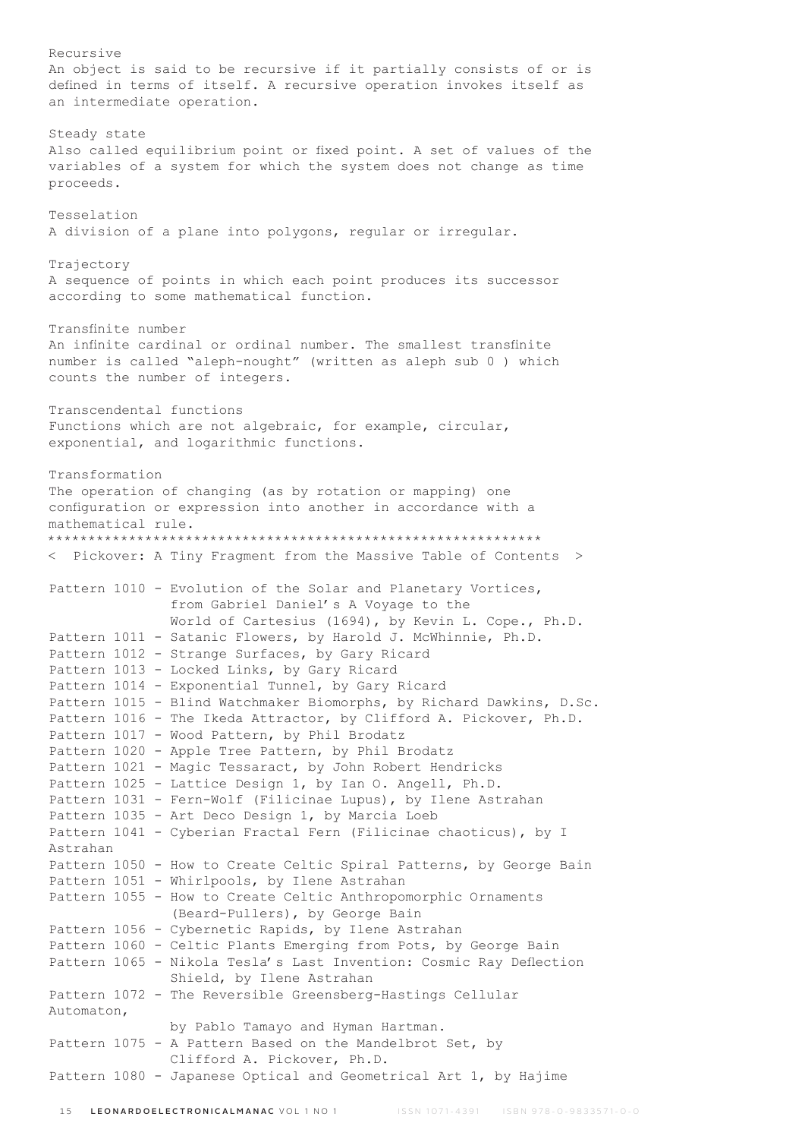Recursive An object is said to be recursive if it partially consists of or is defined in terms of itself. A recursive operation invokes itself as an intermediate operation. Steady state Also called equilibrium point or fixed point. A set of values of the variables of a system for which the system does not change as time proceeds. Tesselation A division of a plane into polygons, regular or irregular. Trajectory A sequence of points in which each point produces its successor according to some mathematical function. Transfinite number An infinite cardinal or ordinal number. The smallest transfinite number is called "aleph-nought" (written as aleph sub 0 ) which counts the number of integers. Transcendental functions Functions which are not algebraic, for example, circular, exponential, and logarithmic functions. Transformation The operation of changing (as by rotation or mapping) one configuration or expression into another in accordance with a mathematical rule. \*\*\*\*\*\*\*\*\*\*\*\*\*\*\*\*\*\*\*\*\*\*\*\*\*\*\*\*\*\*\*\*\*\*\*\*\*\*\*\*\*\*\*\*\*\*\*\*\*\*\*\*\*\*\*\*\*\*\*\*\* < Pickover: A Tiny Fragment from the Massive Table of Contents > Pattern 1010 - Evolution of the Solar and Planetary Vortices, from Gabriel Daniel's A Voyage to the World of Cartesius (1694), by Kevin L. Cope., Ph.D. Pattern 1011 - Satanic Flowers, by Harold J. McWhinnie, Ph.D. Pattern 1012 - Strange Surfaces, by Gary Ricard Pattern 1013 - Locked Links, by Gary Ricard Pattern 1014 - Exponential Tunnel, by Gary Ricard Pattern 1015 - Blind Watchmaker Biomorphs, by Richard Dawkins, D.Sc. Pattern 1016 - The Ikeda Attractor, by Clifford A. Pickover, Ph.D. Pattern 1017 - Wood Pattern, by Phil Brodatz Pattern 1020 - Apple Tree Pattern, by Phil Brodatz Pattern 1021 - Magic Tessaract, by John Robert Hendricks Pattern 1025 - Lattice Design 1, by Ian O. Angell, Ph.D. Pattern 1031 - Fern-Wolf (Filicinae Lupus), by Ilene Astrahan Pattern 1035 - Art Deco Design 1, by Marcia Loeb Pattern 1041 - Cyberian Fractal Fern (Filicinae chaoticus), by I Astrahan Pattern 1050 - How to Create Celtic Spiral Patterns, by George Bain Pattern 1051 - Whirlpools, by Ilene Astrahan Pattern 1055 - How to Create Celtic Anthropomorphic Ornaments (Beard-Pullers), by George Bain Pattern 1056 - Cybernetic Rapids, by Ilene Astrahan Pattern 1060 - Celtic Plants Emerging from Pots, by George Bain Pattern 1065 - Nikola Tesla's Last Invention: Cosmic Ray Deflection Shield, by Ilene Astrahan Pattern 1072 - The Reversible Greensberg-Hastings Cellular Automaton, by Pablo Tamayo and Hyman Hartman. Pattern 1075 - A Pattern Based on the Mandelbrot Set, by Clifford A. Pickover, Ph.D. Pattern 1080 - Japanese Optical and Geometrical Art 1, by Hajime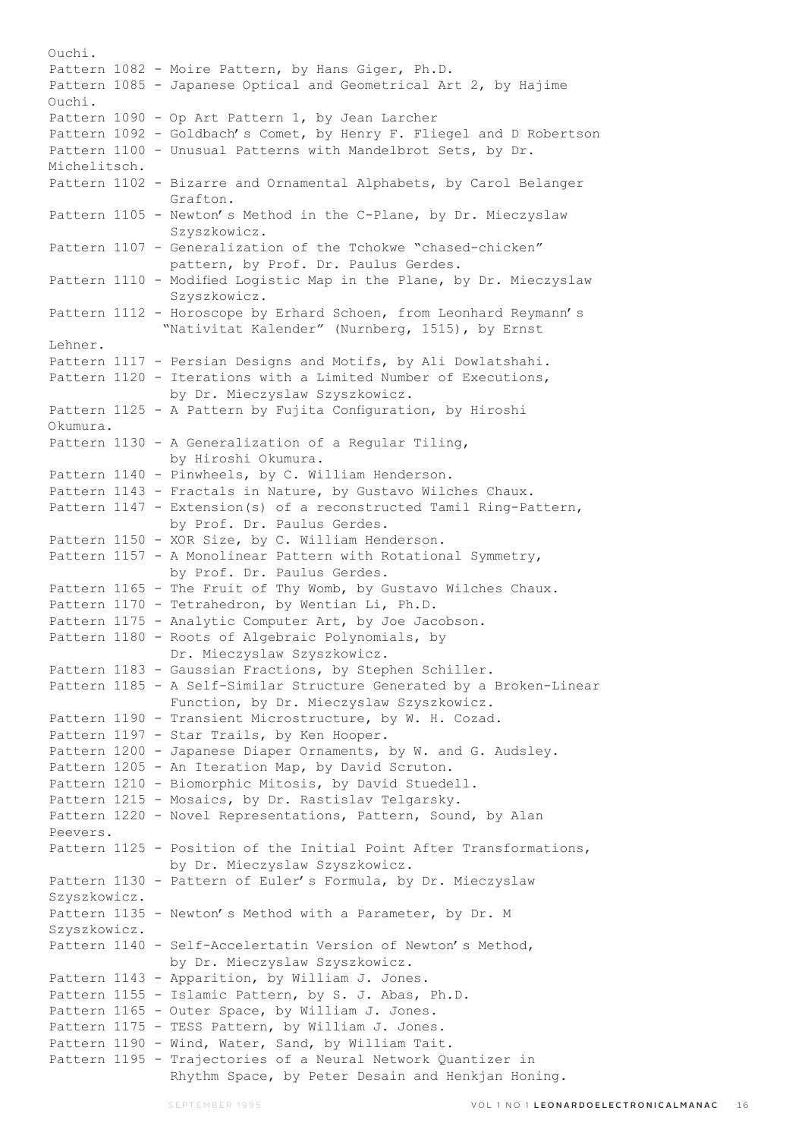Ouchi. Pattern 1082 - Moire Pattern, by Hans Giger, Ph.D. Pattern 1085 - Japanese Optical and Geometrical Art 2, by Hajime Ouchi. Pattern 1090 - Op Art Pattern 1, by Jean Larcher Pattern 1092 - Goldbach's Comet, by Henry F. Fliegel and D Robertson Pattern 1100 - Unusual Patterns with Mandelbrot Sets, by Dr. Michelitsch. Pattern 1102 - Bizarre and Ornamental Alphabets, by Carol Belanger Grafton. Pattern 1105 - Newton's Method in the C-Plane, by Dr. Mieczyslaw Szyszkowicz. Pattern 1107 - Generalization of the Tchokwe "chased-chicken" pattern, by Prof. Dr. Paulus Gerdes. Pattern 1110 - Modified Logistic Map in the Plane, by Dr. Mieczyslaw Szyszkowicz. Pattern 1112 - Horoscope by Erhard Schoen, from Leonhard Reymann's "Nativitat Kalender" (Nurnberg, 1515), by Ernst Lehner. Pattern 1117 - Persian Designs and Motifs, by Ali Dowlatshahi. Pattern 1120 - Iterations with a Limited Number of Executions, by Dr. Mieczyslaw Szyszkowicz. Pattern 1125 - A Pattern by Fujita Configuration, by Hiroshi Okumura. Pattern 1130 - A Generalization of a Regular Tiling, by Hiroshi Okumura. Pattern 1140 - Pinwheels, by C. William Henderson. Pattern 1143 - Fractals in Nature, by Gustavo Wilches Chaux. Pattern 1147 - Extension(s) of a reconstructed Tamil Ring-Pattern, by Prof. Dr. Paulus Gerdes. Pattern 1150 - XOR Size, by C. William Henderson. Pattern 1157 - A Monolinear Pattern with Rotational Symmetry, by Prof. Dr. Paulus Gerdes. Pattern 1165 - The Fruit of Thy Womb, by Gustavo Wilches Chaux. Pattern 1170 - Tetrahedron, by Wentian Li, Ph.D. Pattern 1175 - Analytic Computer Art, by Joe Jacobson. Pattern 1180 - Roots of Algebraic Polynomials, by Dr. Mieczyslaw Szyszkowicz. Pattern 1183 - Gaussian Fractions, by Stephen Schiller. Pattern 1185 - A Self-Similar Structure Generated by a Broken-Linear Function, by Dr. Mieczyslaw Szyszkowicz. Pattern 1190 - Transient Microstructure, by W. H. Cozad. Pattern 1197 - Star Trails, by Ken Hooper. Pattern 1200 - Japanese Diaper Ornaments, by W. and G. Audsley. Pattern 1205 - An Iteration Map, by David Scruton. Pattern 1210 - Biomorphic Mitosis, by David Stuedell. Pattern 1215 - Mosaics, by Dr. Rastislav Telgarsky. Pattern 1220 - Novel Representations, Pattern, Sound, by Alan Peevers. Pattern 1125 - Position of the Initial Point After Transformations, by Dr. Mieczyslaw Szyszkowicz. Pattern 1130 - Pattern of Euler's Formula, by Dr. Mieczyslaw Szyszkowicz. Pattern 1135 - Newton's Method with a Parameter, by Dr. M Szyszkowicz. Pattern 1140 - Self-Accelertatin Version of Newton's Method, by Dr. Mieczyslaw Szyszkowicz. Pattern 1143 - Apparition, by William J. Jones. Pattern 1155 - Islamic Pattern, by S. J. Abas, Ph.D. Pattern 1165 - Outer Space, by William J. Jones. Pattern 1175 - TESS Pattern, by William J. Jones. Pattern 1190 - Wind, Water, Sand, by William Tait. Pattern 1195 - Trajectories of a Neural Network Quantizer in Rhythm Space, by Peter Desain and Henkjan Honing.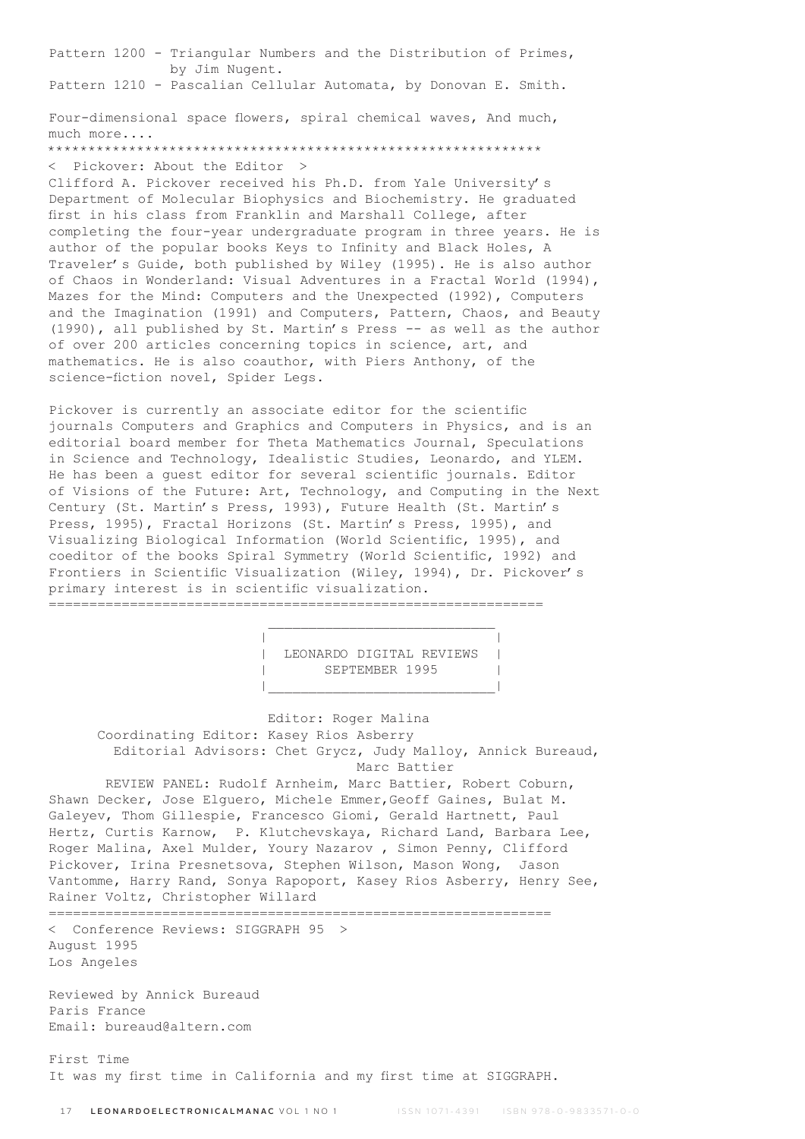Pattern 1200 - Triangular Numbers and the Distribution of Primes, by Jim Nugent.

Pattern 1210 - Pascalian Cellular Automata, by Donovan E. Smith.

Four-dimensional space flowers, spiral chemical waves, And much, much more....

\*\*\*\*\*\*\*\*\*\*\*\*\*\*\*\*\*\*\*\*\*\*\*\*\*\*\*\*\*\*\*\*\*\*\*\*\*\*\*\*\*\*\*\*\*\*\*\*\*\*\*\*\*\*\*\*\*\*\*\*\*

Pickover: About the Editor >

Clifford A. Pickover received his Ph.D. from Yale University's Department of Molecular Biophysics and Biochemistry. He graduated first in his class from Franklin and Marshall College, after completing the four-year undergraduate program in three years. He is author of the popular books Keys to Infinity and Black Holes, A Traveler's Guide, both published by Wiley (1995). He is also author of Chaos in Wonderland: Visual Adventures in a Fractal World (1994), Mazes for the Mind: Computers and the Unexpected (1992), Computers and the Imagination (1991) and Computers, Pattern, Chaos, and Beauty (1990), all published by St. Martin's Press -- as well as the author of over 200 articles concerning topics in science, art, and mathematics. He is also coauthor, with Piers Anthony, of the science-fiction novel, Spider Legs.

Pickover is currently an associate editor for the scientific journals Computers and Graphics and Computers in Physics, and is an editorial board member for Theta Mathematics Journal, Speculations in Science and Technology, Idealistic Studies, Leonardo, and YLEM. He has been a guest editor for several scientific journals. Editor of Visions of the Future: Art, Technology, and Computing in the Next Century (St. Martin's Press, 1993), Future Health (St. Martin's Press, 1995), Fractal Horizons (St. Martin's Press, 1995), and Visualizing Biological Information (World Scientific, 1995), and coeditor of the books Spiral Symmetry (World Scientific, 1992) and Frontiers in Scientific Visualization (Wiley, 1994), Dr. Pickover's primary interest is in scientific visualization. =============================================================

 $\mathcal{L}_\text{max}$  and the contract of the contract of the contract of the contract of the contract of the contract of the contract of the contract of the contract of the contract of the contract of the contract of the contrac

 | | | LEONARDO DIGITAL REVIEWS | | SEPTEMBER 1995 | |\_\_\_\_\_\_\_\_\_\_\_\_\_\_\_\_\_\_\_\_\_\_\_\_\_\_\_\_|

> Editor: Roger Malina Coordinating Editor: Kasey Rios Asberry Editorial Advisors: Chet Grycz, Judy Malloy, Annick Bureaud, Marc Battier

 REVIEW PANEL: Rudolf Arnheim, Marc Battier, Robert Coburn, Shawn Decker, Jose Elguero, Michele Emmer,Geoff Gaines, Bulat M. Galeyev, Thom Gillespie, Francesco Giomi, Gerald Hartnett, Paul Hertz, Curtis Karnow, P. Klutchevskaya, Richard Land, Barbara Lee, Roger Malina, Axel Mulder, Youry Nazarov , Simon Penny, Clifford Pickover, Irina Presnetsova, Stephen Wilson, Mason Wong, Jason Vantomme, Harry Rand, Sonya Rapoport, Kasey Rios Asberry, Henry See, Rainer Voltz, Christopher Willard

==============================================================

< Conference Reviews: SIGGRAPH 95 > August 1995 Los Angeles

Reviewed by Annick Bureaud Paris France Email: bureaud@altern.com

First Time It was my first time in California and my first time at SIGGRAPH.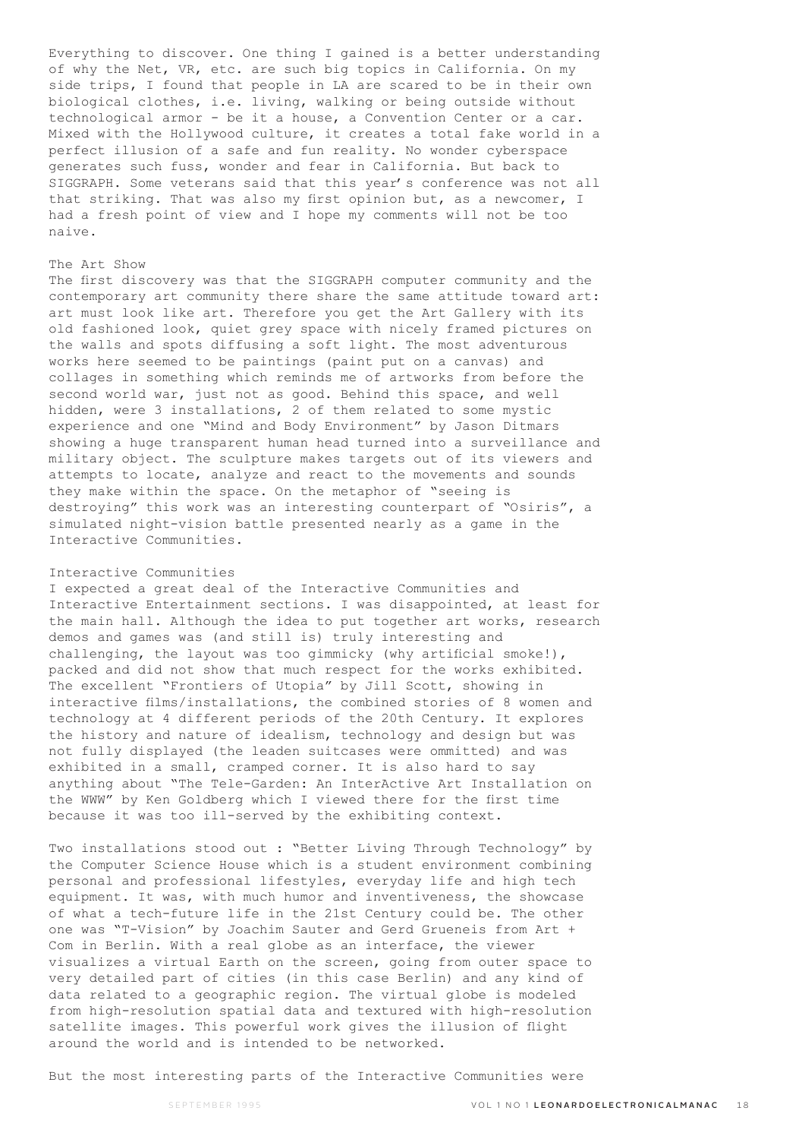Everything to discover. One thing I gained is a better understanding of why the Net, VR, etc. are such big topics in California. On my side trips, I found that people in LA are scared to be in their own biological clothes, i.e. living, walking or being outside without technological armor - be it a house, a Convention Center or a car. Mixed with the Hollywood culture, it creates a total fake world in a perfect illusion of a safe and fun reality. No wonder cyberspace generates such fuss, wonder and fear in California. But back to SIGGRAPH. Some veterans said that this year's conference was not all that striking. That was also my first opinion but, as a newcomer, I had a fresh point of view and I hope my comments will not be too naive.

# The Art Show

The first discovery was that the SIGGRAPH computer community and the contemporary art community there share the same attitude toward art: art must look like art. Therefore you get the Art Gallery with its old fashioned look, quiet grey space with nicely framed pictures on the walls and spots diffusing a soft light. The most adventurous works here seemed to be paintings (paint put on a canvas) and collages in something which reminds me of artworks from before the second world war, just not as good. Behind this space, and well hidden, were 3 installations, 2 of them related to some mystic experience and one "Mind and Body Environment" by Jason Ditmars showing a huge transparent human head turned into a surveillance and military object. The sculpture makes targets out of its viewers and attempts to locate, analyze and react to the movements and sounds they make within the space. On the metaphor of "seeing is destroying" this work was an interesting counterpart of "Osiris", a simulated night-vision battle presented nearly as a game in the Interactive Communities.

# Interactive Communities

I expected a great deal of the Interactive Communities and Interactive Entertainment sections. I was disappointed, at least for the main hall. Although the idea to put together art works, research demos and games was (and still is) truly interesting and challenging, the layout was too gimmicky (why artificial smoke!), packed and did not show that much respect for the works exhibited. The excellent "Frontiers of Utopia" by Jill Scott, showing in interactive films/installations, the combined stories of 8 women and technology at 4 different periods of the 20th Century. It explores the history and nature of idealism, technology and design but was not fully displayed (the leaden suitcases were ommitted) and was exhibited in a small, cramped corner. It is also hard to say anything about "The Tele-Garden: An InterActive Art Installation on the WWW" by Ken Goldberg which I viewed there for the first time because it was too ill-served by the exhibiting context.

Two installations stood out : "Better Living Through Technology" by the Computer Science House which is a student environment combining personal and professional lifestyles, everyday life and high tech equipment. It was, with much humor and inventiveness, the showcase of what a tech-future life in the 21st Century could be. The other one was "T-Vision" by Joachim Sauter and Gerd Grueneis from Art + Com in Berlin. With a real globe as an interface, the viewer visualizes a virtual Earth on the screen, going from outer space to very detailed part of cities (in this case Berlin) and any kind of data related to a geographic region. The virtual globe is modeled from high-resolution spatial data and textured with high-resolution satellite images. This powerful work gives the illusion of flight around the world and is intended to be networked.

But the most interesting parts of the Interactive Communities were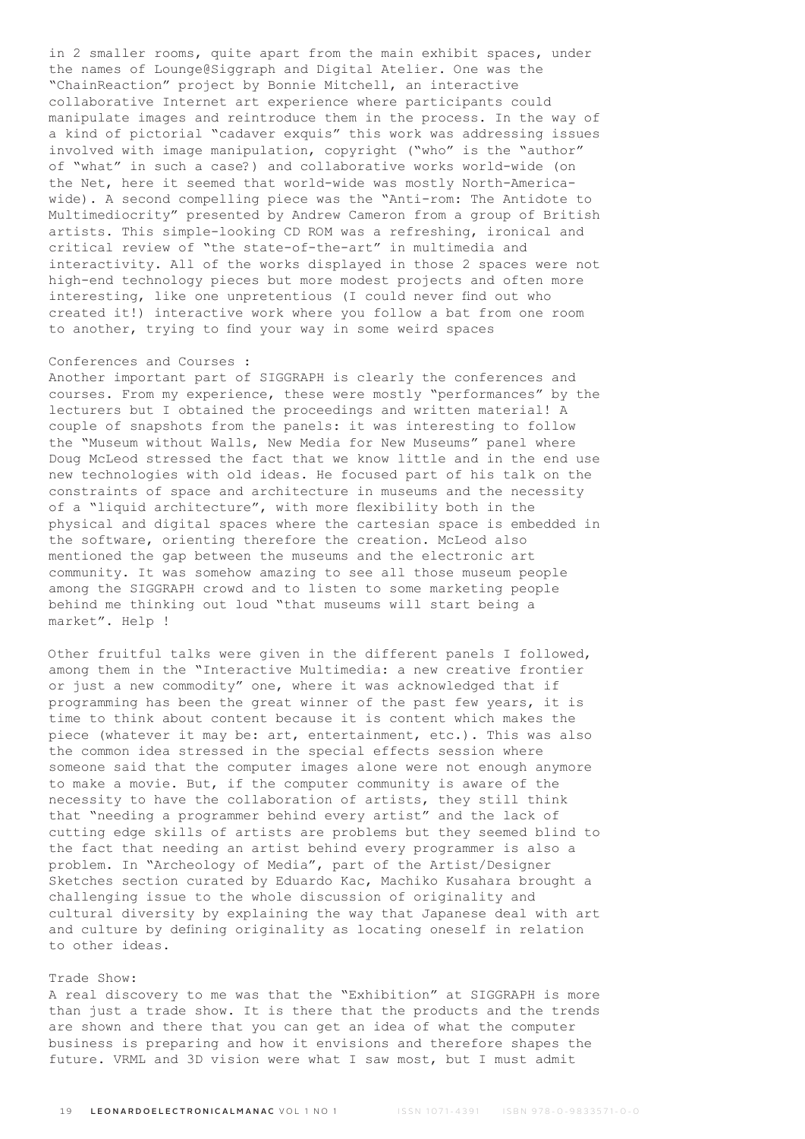in 2 smaller rooms, quite apart from the main exhibit spaces, under the names of Lounge@Siggraph and Digital Atelier. One was the "ChainReaction" project by Bonnie Mitchell, an interactive collaborative Internet art experience where participants could manipulate images and reintroduce them in the process. In the way of a kind of pictorial "cadaver exquis" this work was addressing issues involved with image manipulation, copyright ("who" is the "author" of "what" in such a case?) and collaborative works world-wide (on the Net, here it seemed that world-wide was mostly North-Americawide). A second compelling piece was the "Anti-rom: The Antidote to Multimediocrity" presented by Andrew Cameron from a group of British artists. This simple-looking CD ROM was a refreshing, ironical and critical review of "the state-of-the-art" in multimedia and interactivity. All of the works displayed in those 2 spaces were not high-end technology pieces but more modest projects and often more interesting, like one unpretentious (I could never find out who created it!) interactive work where you follow a bat from one room to another, trying to find your way in some weird spaces

### Conferences and Courses :

Another important part of SIGGRAPH is clearly the conferences and courses. From my experience, these were mostly "performances" by the lecturers but I obtained the proceedings and written material! A couple of snapshots from the panels: it was interesting to follow the "Museum without Walls, New Media for New Museums" panel where Doug McLeod stressed the fact that we know little and in the end use new technologies with old ideas. He focused part of his talk on the constraints of space and architecture in museums and the necessity of a "liquid architecture", with more flexibility both in the physical and digital spaces where the cartesian space is embedded in the software, orienting therefore the creation. McLeod also mentioned the gap between the museums and the electronic art community. It was somehow amazing to see all those museum people among the SIGGRAPH crowd and to listen to some marketing people behind me thinking out loud "that museums will start being a market". Help !

Other fruitful talks were given in the different panels I followed, among them in the "Interactive Multimedia: a new creative frontier or just a new commodity" one, where it was acknowledged that if programming has been the great winner of the past few years, it is time to think about content because it is content which makes the piece (whatever it may be: art, entertainment, etc.). This was also the common idea stressed in the special effects session where someone said that the computer images alone were not enough anymore to make a movie. But, if the computer community is aware of the necessity to have the collaboration of artists, they still think that "needing a programmer behind every artist" and the lack of cutting edge skills of artists are problems but they seemed blind to the fact that needing an artist behind every programmer is also a problem. In "Archeology of Media", part of the Artist/Designer Sketches section curated by Eduardo Kac, Machiko Kusahara brought a challenging issue to the whole discussion of originality and cultural diversity by explaining the way that Japanese deal with art and culture by defining originality as locating oneself in relation to other ideas.

#### Trade Show:

A real discovery to me was that the "Exhibition" at SIGGRAPH is more than just a trade show. It is there that the products and the trends are shown and there that you can get an idea of what the computer business is preparing and how it envisions and therefore shapes the future. VRML and 3D vision were what I saw most, but I must admit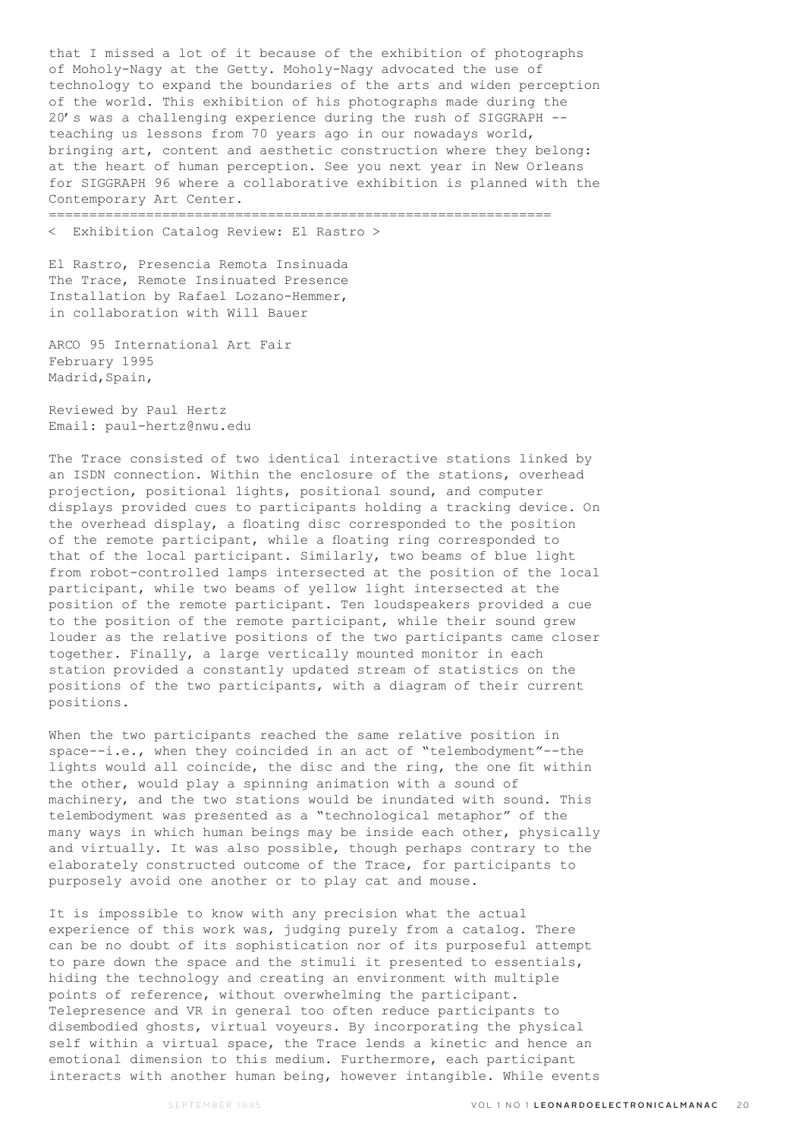that I missed a lot of it because of the exhibition of photographs of Moholy-Nagy at the Getty. Moholy-Nagy advocated the use of technology to expand the boundaries of the arts and widen perception of the world. This exhibition of his photographs made during the 20's was a challenging experience during the rush of SIGGRAPH - teaching us lessons from 70 years ago in our nowadays world, bringing art, content and aesthetic construction where they belong: at the heart of human perception. See you next year in New Orleans for SIGGRAPH 96 where a collaborative exhibition is planned with the Contemporary Art Center.

============================================================== < Exhibition Catalog Review: El Rastro >

El Rastro, Presencia Remota Insinuada The Trace, Remote Insinuated Presence Installation by Rafael Lozano-Hemmer, in collaboration with Will Bauer

ARCO 95 International Art Fair February 1995 Madrid, Spain,

Reviewed by Paul Hertz Email: paul-hertz@nwu.edu

The Trace consisted of two identical interactive stations linked by an ISDN connection. Within the enclosure of the stations, overhead projection, positional lights, positional sound, and computer displays provided cues to participants holding a tracking device. On the overhead display, a floating disc corresponded to the position of the remote participant, while a floating ring corresponded to that of the local participant. Similarly, two beams of blue light from robot-controlled lamps intersected at the position of the local participant, while two beams of yellow light intersected at the position of the remote participant. Ten loudspeakers provided a cue to the position of the remote participant, while their sound grew louder as the relative positions of the two participants came closer together. Finally, a large vertically mounted monitor in each station provided a constantly updated stream of statistics on the positions of the two participants, with a diagram of their current positions.

When the two participants reached the same relative position in space--i.e., when they coincided in an act of "telembodyment"--the lights would all coincide, the disc and the ring, the one fit within the other, would play a spinning animation with a sound of machinery, and the two stations would be inundated with sound. This telembodyment was presented as a "technological metaphor" of the many ways in which human beings may be inside each other, physically and virtually. It was also possible, though perhaps contrary to the elaborately constructed outcome of the Trace, for participants to purposely avoid one another or to play cat and mouse.

It is impossible to know with any precision what the actual experience of this work was, judging purely from a catalog. There can be no doubt of its sophistication nor of its purposeful attempt to pare down the space and the stimuli it presented to essentials, hiding the technology and creating an environment with multiple points of reference, without overwhelming the participant. Telepresence and VR in general too often reduce participants to disembodied ghosts, virtual voyeurs. By incorporating the physical self within a virtual space, the Trace lends a kinetic and hence an emotional dimension to this medium. Furthermore, each participant interacts with another human being, however intangible. While events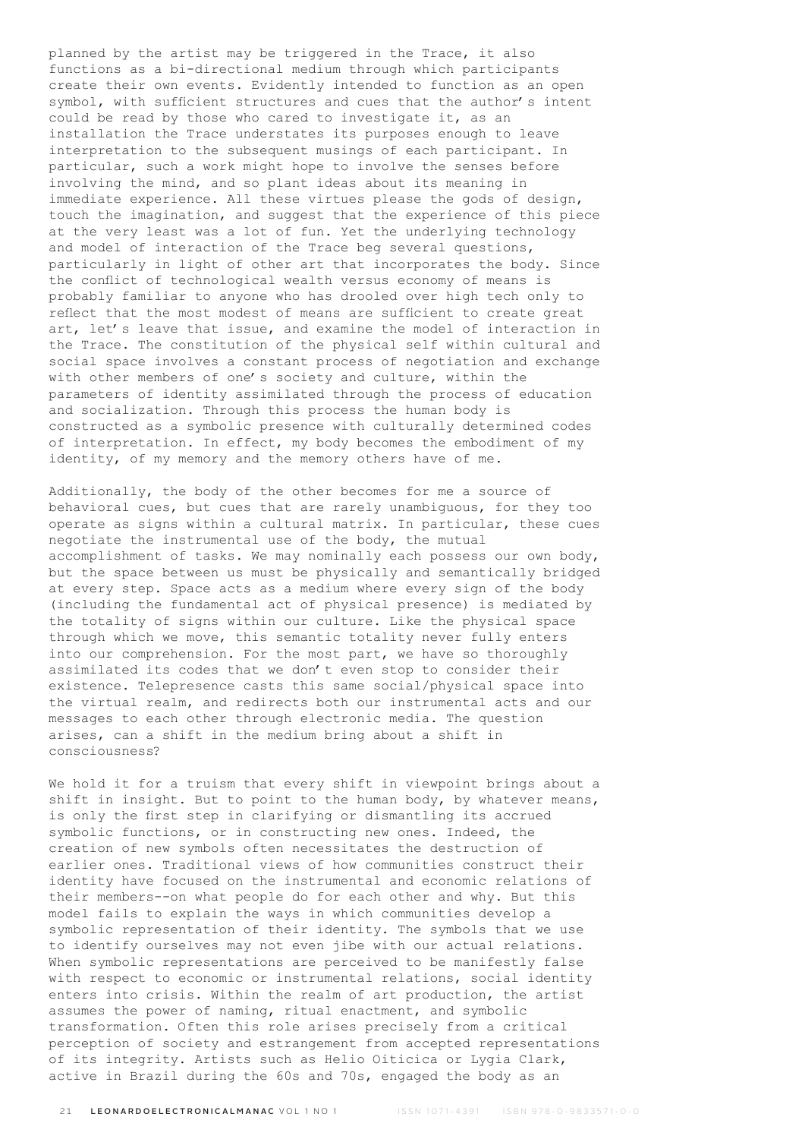planned by the artist may be triggered in the Trace, it also functions as a bi-directional medium through which participants create their own events. Evidently intended to function as an open symbol, with sufficient structures and cues that the author's intent could be read by those who cared to investigate it, as an installation the Trace understates its purposes enough to leave interpretation to the subsequent musings of each participant. In particular, such a work might hope to involve the senses before involving the mind, and so plant ideas about its meaning in immediate experience. All these virtues please the gods of design, touch the imagination, and suggest that the experience of this piece at the very least was a lot of fun. Yet the underlying technology and model of interaction of the Trace beg several questions, particularly in light of other art that incorporates the body. Since the conflict of technological wealth versus economy of means is probably familiar to anyone who has drooled over high tech only to reflect that the most modest of means are sufficient to create great art, let's leave that issue, and examine the model of interaction in the Trace. The constitution of the physical self within cultural and social space involves a constant process of negotiation and exchange with other members of one's society and culture, within the parameters of identity assimilated through the process of education and socialization. Through this process the human body is constructed as a symbolic presence with culturally determined codes of interpretation. In effect, my body becomes the embodiment of my identity, of my memory and the memory others have of me.

Additionally, the body of the other becomes for me a source of behavioral cues, but cues that are rarely unambiguous, for they too operate as signs within a cultural matrix. In particular, these cues negotiate the instrumental use of the body, the mutual accomplishment of tasks. We may nominally each possess our own body, but the space between us must be physically and semantically bridged at every step. Space acts as a medium where every sign of the body (including the fundamental act of physical presence) is mediated by the totality of signs within our culture. Like the physical space through which we move, this semantic totality never fully enters into our comprehension. For the most part, we have so thoroughly assimilated its codes that we don't even stop to consider their existence. Telepresence casts this same social/physical space into the virtual realm, and redirects both our instrumental acts and our messages to each other through electronic media. The question arises, can a shift in the medium bring about a shift in consciousness?

We hold it for a truism that every shift in viewpoint brings about a shift in insight. But to point to the human body, by whatever means, is only the first step in clarifying or dismantling its accrued symbolic functions, or in constructing new ones. Indeed, the creation of new symbols often necessitates the destruction of earlier ones. Traditional views of how communities construct their identity have focused on the instrumental and economic relations of their members--on what people do for each other and why. But this model fails to explain the ways in which communities develop a symbolic representation of their identity. The symbols that we use to identify ourselves may not even jibe with our actual relations. When symbolic representations are perceived to be manifestly false with respect to economic or instrumental relations, social identity enters into crisis. Within the realm of art production, the artist assumes the power of naming, ritual enactment, and symbolic transformation. Often this role arises precisely from a critical perception of society and estrangement from accepted representations of its integrity. Artists such as Helio Oiticica or Lygia Clark, active in Brazil during the 60s and 70s, engaged the body as an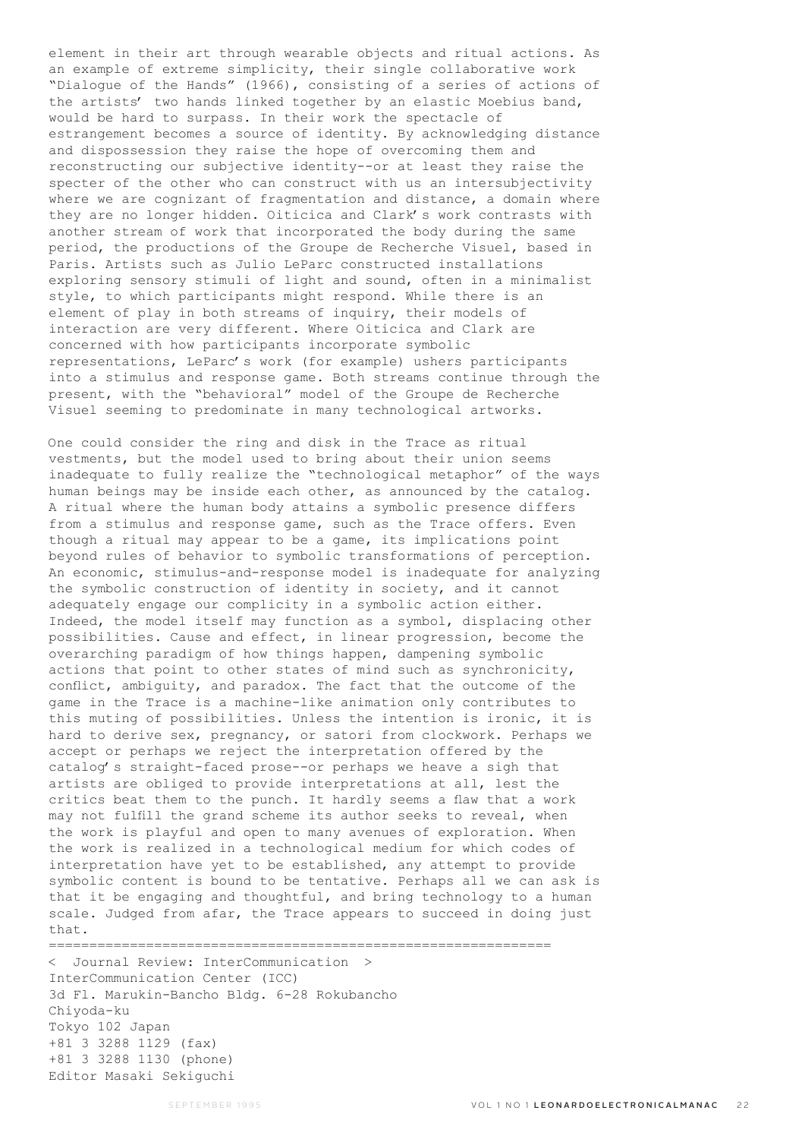element in their art through wearable objects and ritual actions. As an example of extreme simplicity, their single collaborative work "Dialogue of the Hands" (1966), consisting of a series of actions of the artists' two hands linked together by an elastic Moebius band, would be hard to surpass. In their work the spectacle of estrangement becomes a source of identity. By acknowledging distance and dispossession they raise the hope of overcoming them and reconstructing our subjective identity--or at least they raise the specter of the other who can construct with us an intersubjectivity where we are cognizant of fragmentation and distance, a domain where they are no longer hidden. Oiticica and Clark's work contrasts with another stream of work that incorporated the body during the same period, the productions of the Groupe de Recherche Visuel, based in Paris. Artists such as Julio LeParc constructed installations exploring sensory stimuli of light and sound, often in a minimalist style, to which participants might respond. While there is an element of play in both streams of inquiry, their models of interaction are very different. Where Oiticica and Clark are concerned with how participants incorporate symbolic representations, LeParc's work (for example) ushers participants into a stimulus and response game. Both streams continue through the present, with the "behavioral" model of the Groupe de Recherche Visuel seeming to predominate in many technological artworks.

One could consider the ring and disk in the Trace as ritual vestments, but the model used to bring about their union seems inadequate to fully realize the "technological metaphor" of the ways human beings may be inside each other, as announced by the catalog. A ritual where the human body attains a symbolic presence differs from a stimulus and response game, such as the Trace offers. Even though a ritual may appear to be a game, its implications point beyond rules of behavior to symbolic transformations of perception. An economic, stimulus-and-response model is inadequate for analyzing the symbolic construction of identity in society, and it cannot adequately engage our complicity in a symbolic action either. Indeed, the model itself may function as a symbol, displacing other possibilities. Cause and effect, in linear progression, become the overarching paradigm of how things happen, dampening symbolic actions that point to other states of mind such as synchronicity, conflict, ambiguity, and paradox. The fact that the outcome of the game in the Trace is a machine-like animation only contributes to this muting of possibilities. Unless the intention is ironic, it is hard to derive sex, pregnancy, or satori from clockwork. Perhaps we accept or perhaps we reject the interpretation offered by the catalog's straight-faced prose--or perhaps we heave a sigh that artists are obliged to provide interpretations at all, lest the critics beat them to the punch. It hardly seems a flaw that a work may not fulfill the grand scheme its author seeks to reveal, when the work is playful and open to many avenues of exploration. When the work is realized in a technological medium for which codes of interpretation have yet to be established, any attempt to provide symbolic content is bound to be tentative. Perhaps all we can ask is that it be engaging and thoughtful, and bring technology to a human scale. Judged from afar, the Trace appears to succeed in doing just that.

==============================================================

< Journal Review: InterCommunication > InterCommunication Center (ICC) 3d Fl. Marukin-Bancho Bldg. 6-28 Rokubancho Chiyoda-ku Tokyo 102 Japan +81 3 3288 1129 (fax) +81 3 3288 1130 (phone) Editor Masaki Sekiguchi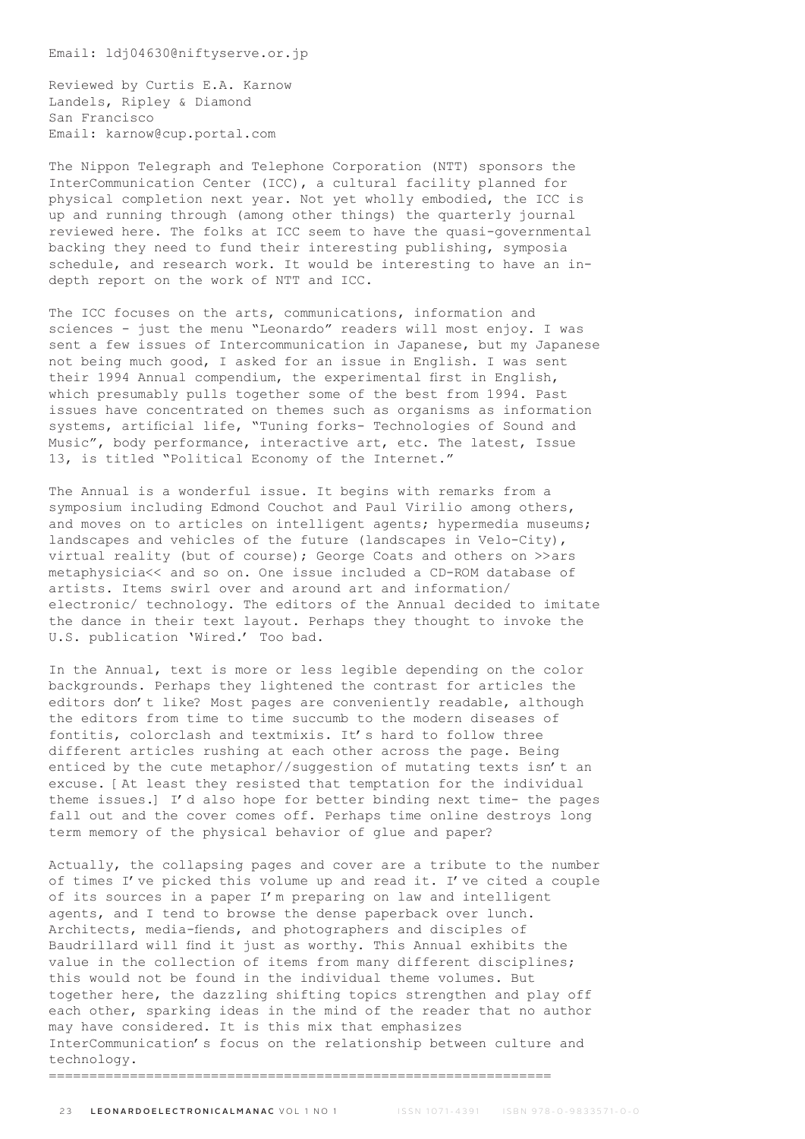Email: ldj04630@niftyserve.or.jp

Reviewed by Curtis E.A. Karnow Landels, Ripley & Diamond San Francisco Email: karnow@cup.portal.com

The Nippon Telegraph and Telephone Corporation (NTT) sponsors the InterCommunication Center (ICC), a cultural facility planned for physical completion next year. Not yet wholly embodied, the ICC is up and running through (among other things) the quarterly journal reviewed here. The folks at ICC seem to have the quasi-governmental backing they need to fund their interesting publishing, symposia schedule, and research work. It would be interesting to have an indepth report on the work of NTT and ICC.

The ICC focuses on the arts, communications, information and sciences - just the menu "Leonardo" readers will most enjoy. I was sent a few issues of Intercommunication in Japanese, but my Japanese not being much good, I asked for an issue in English. I was sent their 1994 Annual compendium, the experimental first in English, which presumably pulls together some of the best from 1994. Past issues have concentrated on themes such as organisms as information systems, artificial life, "Tuning forks- Technologies of Sound and Music", body performance, interactive art, etc. The latest, Issue 13, is titled "Political Economy of the Internet."

The Annual is a wonderful issue. It begins with remarks from a symposium including Edmond Couchot and Paul Virilio among others, and moves on to articles on intelligent agents; hypermedia museums; landscapes and vehicles of the future (landscapes in Velo-City), virtual reality (but of course); George Coats and others on >>ars metaphysicia<< and so on. One issue included a CD-ROM database of artists. Items swirl over and around art and information/ electronic/ technology. The editors of the Annual decided to imitate the dance in their text layout. Perhaps they thought to invoke the U.S. publication 'Wired.' Too bad.

In the Annual, text is more or less legible depending on the color backgrounds. Perhaps they lightened the contrast for articles the editors don't like? Most pages are conveniently readable, although the editors from time to time succumb to the modern diseases of fontitis, colorclash and textmixis. It's hard to follow three different articles rushing at each other across the page. Being enticed by the cute metaphor//suggestion of mutating texts isn't an excuse. [At least they resisted that temptation for the individual theme issues.] I'd also hope for better binding next time- the pages fall out and the cover comes off. Perhaps time online destroys long term memory of the physical behavior of glue and paper?

Actually, the collapsing pages and cover are a tribute to the number of times I've picked this volume up and read it. I've cited a couple of its sources in a paper I'm preparing on law and intelligent agents, and I tend to browse the dense paperback over lunch. Architects, media-fiends, and photographers and disciples of Baudrillard will find it just as worthy. This Annual exhibits the value in the collection of items from many different disciplines; this would not be found in the individual theme volumes. But together here, the dazzling shifting topics strengthen and play off each other, sparking ideas in the mind of the reader that no author may have considered. It is this mix that emphasizes InterCommunication's focus on the relationship between culture and technology. ==============================================================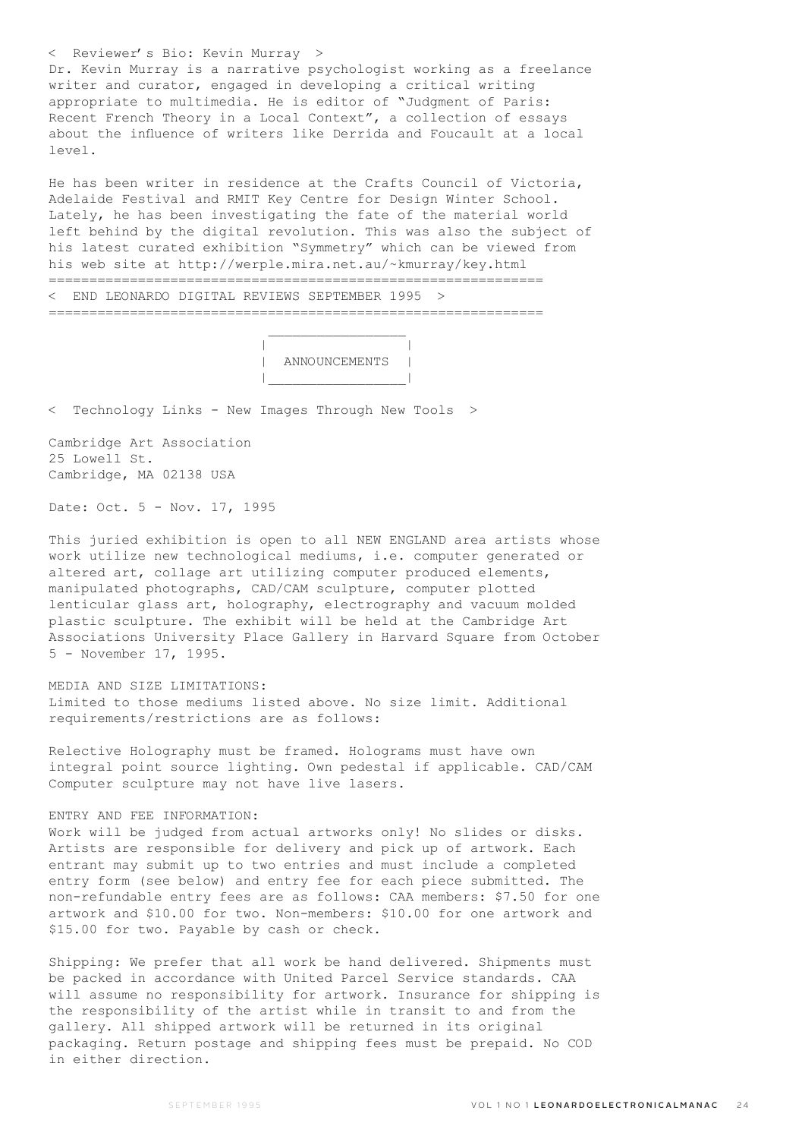< Reviewer's Bio: Kevin Murray > Dr. Kevin Murray is a narrative psychologist working as a freelance writer and curator, engaged in developing a critical writing appropriate to multimedia. He is editor of "Judgment of Paris: Recent French Theory in a Local Context", a collection of essays about the influence of writers like Derrida and Foucault at a local level.

He has been writer in residence at the Crafts Council of Victoria, Adelaide Festival and RMIT Key Centre for Design Winter School. Lately, he has been investigating the fate of the material world left behind by the digital revolution. This was also the subject of his latest curated exhibition "Symmetry" which can be viewed from his web site at http://werple.mira.net.au/~kmurray/key.html =============================================================

< END LEONARDO DIGITAL REVIEWS SEPTEMBER 1995 > =============================================================

 | | | ANNOUNCEMENTS | |\_\_\_\_\_\_\_\_\_\_\_\_\_\_\_\_\_|

< Technology Links - New Images Through New Tools >

 $\mathcal{L}_\text{max}$  and  $\mathcal{L}_\text{max}$  and  $\mathcal{L}_\text{max}$  and  $\mathcal{L}_\text{max}$ 

Cambridge Art Association 25 Lowell St. Cambridge, MA 02138 USA

Date: Oct. 5 - Nov. 17, 1995

This juried exhibition is open to all NEW ENGLAND area artists whose work utilize new technological mediums, i.e. computer generated or altered art, collage art utilizing computer produced elements, manipulated photographs, CAD/CAM sculpture, computer plotted lenticular glass art, holography, electrography and vacuum molded plastic sculpture. The exhibit will be held at the Cambridge Art Associations University Place Gallery in Harvard Square from October 5 - November 17, 1995.

#### MEDIA AND SIZE LIMITATIONS:

Limited to those mediums listed above. No size limit. Additional requirements/restrictions are as follows:

Relective Holography must be framed. Holograms must have own integral point source lighting. Own pedestal if applicable. CAD/CAM Computer sculpture may not have live lasers.

#### ENTRY AND FEE INFORMATION:

Work will be judged from actual artworks only! No slides or disks. Artists are responsible for delivery and pick up of artwork. Each entrant may submit up to two entries and must include a completed entry form (see below) and entry fee for each piece submitted. The non-refundable entry fees are as follows: CAA members: \$7.50 for one artwork and \$10.00 for two. Non-members: \$10.00 for one artwork and \$15.00 for two. Payable by cash or check.

Shipping: We prefer that all work be hand delivered. Shipments must be packed in accordance with United Parcel Service standards. CAA will assume no responsibility for artwork. Insurance for shipping is the responsibility of the artist while in transit to and from the gallery. All shipped artwork will be returned in its original packaging. Return postage and shipping fees must be prepaid. No COD in either direction.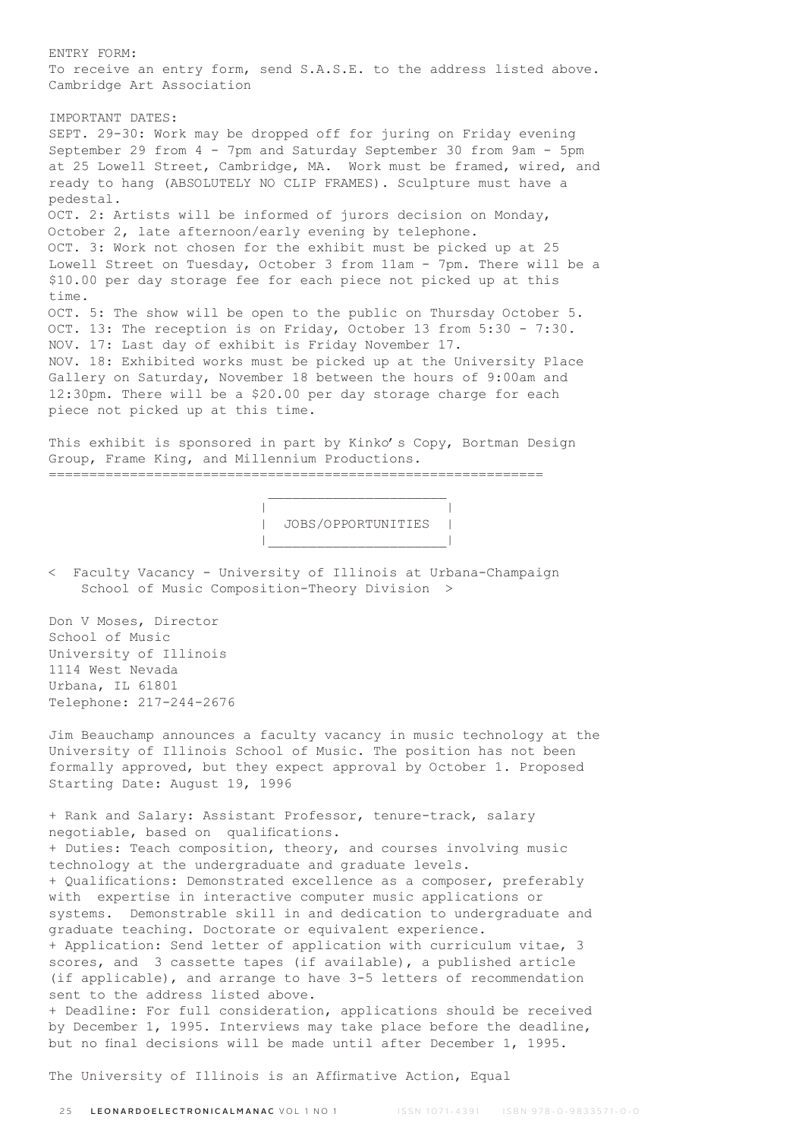To receive an entry form, send S.A.S.E. to the address listed above. Cambridge Art Association IMPORTANT DATES: SEPT. 29-30: Work may be dropped off for juring on Friday evening September 29 from 4 - 7pm and Saturday September 30 from 9am - 5pm at 25 Lowell Street, Cambridge, MA. Work must be framed, wired, and ready to hang (ABSOLUTELY NO CLIP FRAMES). Sculpture must have a pedestal. OCT. 2: Artists will be informed of jurors decision on Monday, October 2, late afternoon/early evening by telephone. OCT. 3: Work not chosen for the exhibit must be picked up at 25 Lowell Street on Tuesday, October 3 from 11am - 7pm. There will be a \$10.00 per day storage fee for each piece not picked up at this time. OCT. 5: The show will be open to the public on Thursday October 5. OCT. 13: The reception is on Friday, October 13 from 5:30 - 7:30. NOV. 17: Last day of exhibit is Friday November 17. NOV. 18: Exhibited works must be picked up at the University Place Gallery on Saturday, November 18 between the hours of 9:00am and 12:30pm. There will be a \$20.00 per day storage charge for each piece not picked up at this time.

This exhibit is sponsored in part by Kinko's Copy, Bortman Design Group, Frame King, and Millennium Productions.

=============================================================

 $\mathcal{L}_\text{max}$  and  $\mathcal{L}_\text{max}$  and  $\mathcal{L}_\text{max}$  and  $\mathcal{L}_\text{max}$ 

 | | | JOBS/OPPORTUNITIES | |\_\_\_\_\_\_\_\_\_\_\_\_\_\_\_\_\_\_\_\_\_\_|

< Faculty Vacancy - University of Illinois at Urbana-Champaign School of Music Composition-Theory Division >

Don V Moses, Director School of Music University of Illinois 1114 West Nevada Urbana, IL 61801 Telephone: 217-244-2676

ENTRY FORM:

Jim Beauchamp announces a faculty vacancy in music technology at the University of Illinois School of Music. The position has not been formally approved, but they expect approval by October 1. Proposed Starting Date: August 19, 1996

+ Rank and Salary: Assistant Professor, tenure-track, salary negotiable, based on qualifications. + Duties: Teach composition, theory, and courses involving music technology at the undergraduate and graduate levels. + Qualifications: Demonstrated excellence as a composer, preferably with expertise in interactive computer music applications or systems. Demonstrable skill in and dedication to undergraduate and graduate teaching. Doctorate or equivalent experience. + Application: Send letter of application with curriculum vitae, 3 scores, and 3 cassette tapes (if available), a published article (if applicable), and arrange to have 3-5 letters of recommendation sent to the address listed above. + Deadline: For full consideration, applications should be received by December 1, 1995. Interviews may take place before the deadline, but no final decisions will be made until after December 1, 1995.

The University of Illinois is an Affirmative Action, Equal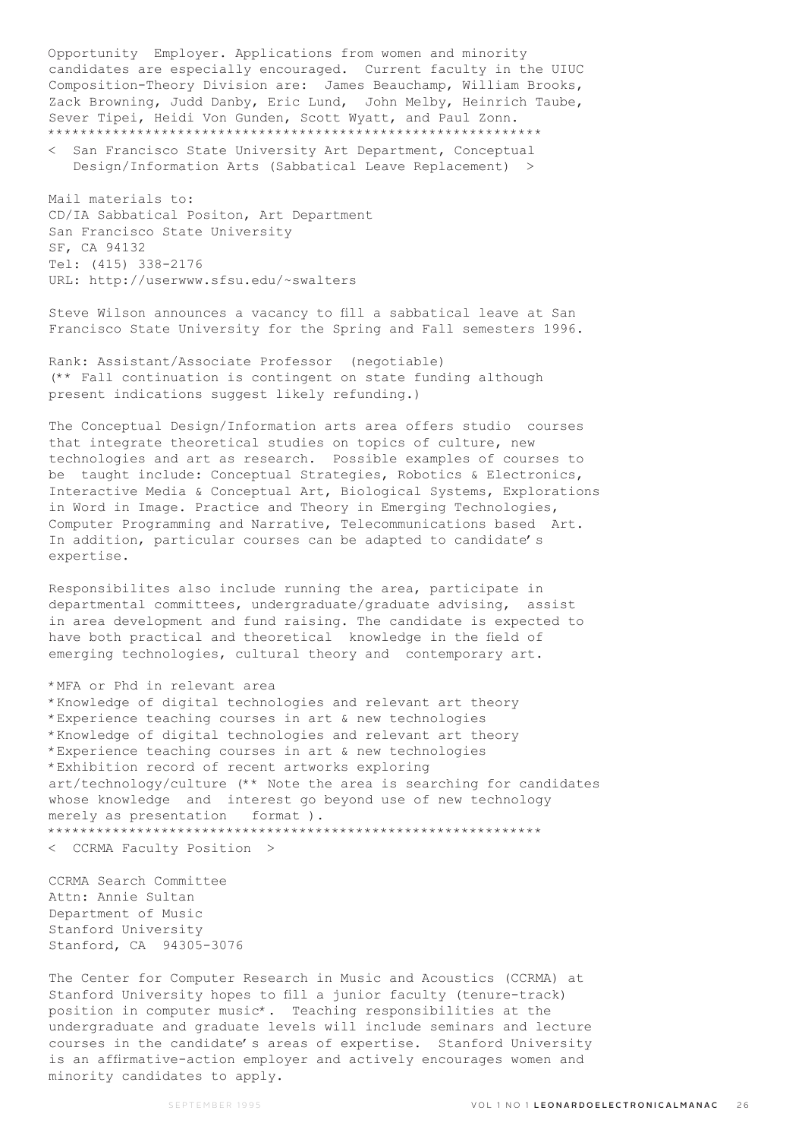Opportunity Employer. Applications from women and minority candidates are especially encouraged. Current faculty in the UIUC Composition-Theory Division are: James Beauchamp, William Brooks, Zack Browning, Judd Danby, Eric Lund, John Melby, Heinrich Taube, Sever Tipei, Heidi Von Gunden, Scott Wyatt, and Paul Zonn. \*\*\*\*\*\*\*\*\*\*\*\*\*\*\*\*\*\*\*\*\*\*\*\*\*\*\*\*\*\*\*\*\*\*\*\*\*\*\*\*\*\*\*\*\*\*\*\*\*\*\*\*\*\*\*\*\*\*\*\*\*

< San Francisco State University Art Department, Conceptual Design/Information Arts (Sabbatical Leave Replacement) >

Mail materials to: CD/IA Sabbatical Positon, Art Department San Francisco State University SF, CA 94132 Tel: (415) 338-2176 URL: http://userwww.sfsu.edu/~swalters

Steve Wilson announces a vacancy to fill a sabbatical leave at San Francisco State University for the Spring and Fall semesters 1996.

Rank: Assistant/Associate Professor (negotiable) (\*\* Fall continuation is contingent on state funding although present indications suggest likely refunding.)

The Conceptual Design/Information arts area offers studio courses that integrate theoretical studies on topics of culture, new technologies and art as research. Possible examples of courses to be taught include: Conceptual Strategies, Robotics & Electronics, Interactive Media & Conceptual Art, Biological Systems, Explorations in Word in Image. Practice and Theory in Emerging Technologies, Computer Programming and Narrative, Telecommunications based Art. In addition, particular courses can be adapted to candidate's expertise.

Responsibilites also include running the area, participate in departmental committees, undergraduate/graduate advising, assist in area development and fund raising. The candidate is expected to have both practical and theoretical knowledge in the field of emerging technologies, cultural theory and contemporary art.

### \*MFA or Phd in relevant area

\*Knowledge of digital technologies and relevant art theory \*Experience teaching courses in art & new technologies \*Knowledge of digital technologies and relevant art theory \*Experience teaching courses in art & new technologies \*Exhibition record of recent artworks exploring art/technology/culture (\*\* Note the area is searching for candidates whose knowledge and interest go beyond use of new technology merely as presentation format ). \*\*\*\*\*\*\*\*\*\*\*\*\*\*\*\*\*\*\*\*\*\*\*\*\*\*\*\*\*\*\*\*\*\*\*\*\*\*\*\*\*\*\*\*\*\*\*\*\*\*\*\*\*\*\*\*\*\*\*\*\*

< CCRMA Faculty Position >

CCRMA Search Committee Attn: Annie Sultan Department of Music Stanford University Stanford, CA 94305-3076

The Center for Computer Research in Music and Acoustics (CCRMA) at Stanford University hopes to fill a junior faculty (tenure-track) position in computer music\*. Teaching responsibilities at the undergraduate and graduate levels will include seminars and lecture courses in the candidate's areas of expertise. Stanford University is an affirmative-action employer and actively encourages women and minority candidates to apply.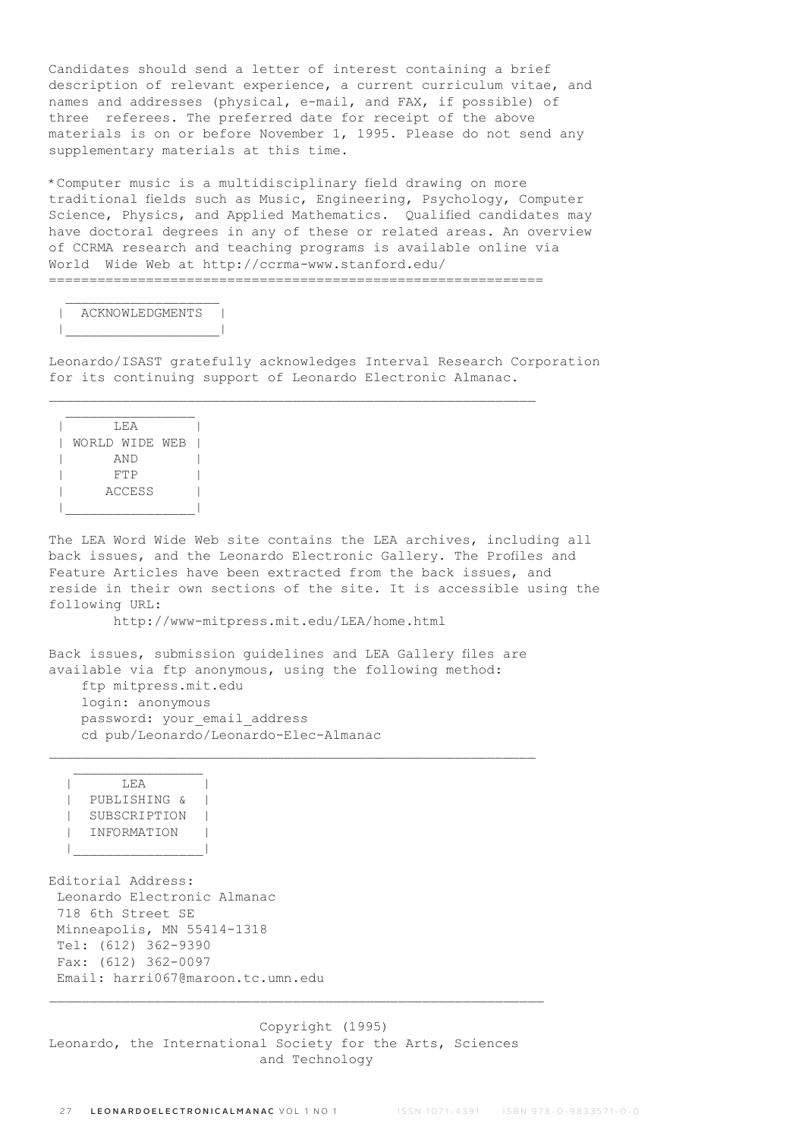Candidates should send a letter of interest containing a brief description of relevant experience, a current curriculum vitae, and names and addresses (physical, e-mail, and FAX, if possible) of three referees. The preferred date for receipt of the above materials is on or before November 1, 1995. Please do not send any supplementary materials at this time.

\*Computer music is a multidisciplinary field drawing on more traditional fields such as Music, Engineering, Psychology, Computer Science, Physics, and Applied Mathematics. Qualified candidates may have doctoral degrees in any of these or related areas. An overview of CCRMA research and teaching programs is available online via World Wide Web at http://ccrma-www.stanford.edu/ =============================================================

 $\mathcal{L}_\text{max}$ | ACKNOWLEDGMENTS | |\_\_\_\_\_\_\_\_\_\_\_\_\_\_\_\_\_\_\_|

Leonardo/ISAST gratefully acknowledges Interval Research Corporation for its continuing support of Leonardo Electronic Almanac.

 $\mathcal{L}_\text{max}$ 

 $\mathcal{L}_\text{max}$  $T.F.A$  | WORLD WIDE WEB | | AND |  $\Gamma$   $FTP$  | ACCESS | |\_\_\_\_\_\_\_\_\_\_\_\_\_\_\_\_|

The LEA Word Wide Web site contains the LEA archives, including all back issues, and the Leonardo Electronic Gallery. The Profiles and Feature Articles have been extracted from the back issues, and reside in their own sections of the site. It is accessible using the following URL:

http://www-mitpress.mit.edu/LEA/home.html

Back issues, submission guidelines and LEA Gallery files are available via ftp anonymous, using the following method: ftp mitpress.mit.edu

 $\mathcal{L}_\text{max}$ 

 login: anonymous password: your email address cd pub/Leonardo/Leonardo-Elec-Almanac

 | LEA | | PUBLISHING & | | SUBSCRIPTION | | INFORMATION | |\_\_\_\_\_\_\_\_\_\_\_\_\_\_\_\_|

 $\mathcal{L}=\mathcal{L}=\mathcal{L}=\mathcal{L}=\mathcal{L}=\mathcal{L}=\mathcal{L}=\mathcal{L}=\mathcal{L}=\mathcal{L}=\mathcal{L}=\mathcal{L}=\mathcal{L}=\mathcal{L}=\mathcal{L}=\mathcal{L}=\mathcal{L}=\mathcal{L}=\mathcal{L}=\mathcal{L}=\mathcal{L}=\mathcal{L}=\mathcal{L}=\mathcal{L}=\mathcal{L}=\mathcal{L}=\mathcal{L}=\mathcal{L}=\mathcal{L}=\mathcal{L}=\mathcal{L}=\mathcal{L}=\mathcal{L}=\mathcal{L}=\mathcal{L}=\mathcal{L}=\mathcal{$ 

Editorial Address: Leonardo Electronic Almanac 718 6th Street SE Minneapolis, MN 55414-1318 Tel: (612) 362-9390 Fax: (612) 362-0097 Email: harri067@maroon.tc.umn.edu

 Copyright (1995) Leonardo, the International Society for the Arts, Sciences and Technology